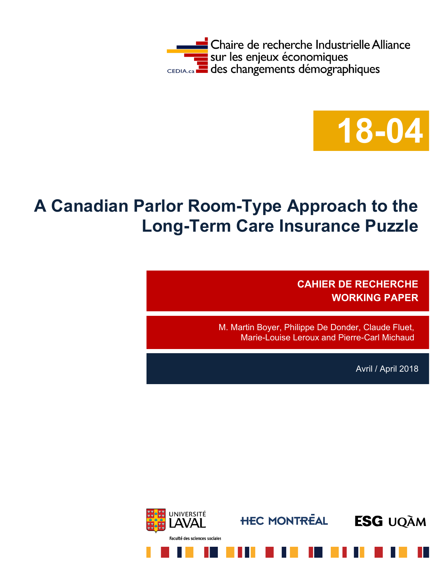



# **A Canadian Parlor Room-Type Approach to the Long-Term Care Insurance Puzzle**

**CAHIER DE RECHERCHE WORKING PAPER**

M. Martin Boyer, Philippe De Donder, Claude Fluet, Marie-Louise Leroux and Pierre-Carl Michaud

Avril / April 2018

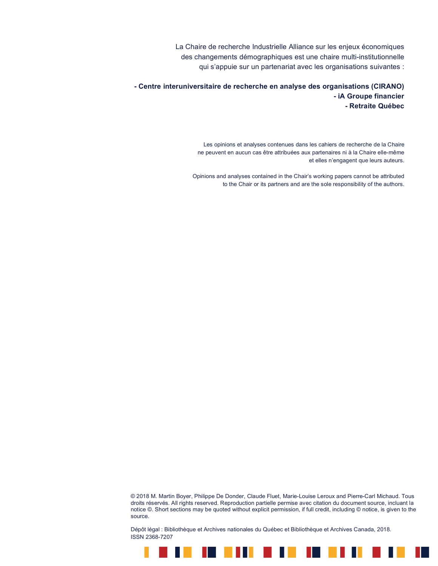La Chaire de recherche Industrielle Alliance sur les enjeux économiques des changements démographiques est une chaire multi-institutionnelle qui s'appuie sur un partenariat avec les organisations suivantes :

**- Centre interuniversitaire de recherche en analyse des organisations (CIRANO) - iA Groupe financier - Retraite Québec**

> Les opinions et analyses contenues dans les cahiers de recherche de la Chaire ne peuvent en aucun cas être attribuées aux partenaires ni à la Chaire elle-même et elles n'engagent que leurs auteurs.

Opinions and analyses contained in the Chair's working papers cannot be attributed to the Chair or its partners and are the sole responsibility of the authors.

© 2018 M. Martin Boyer, Philippe De Donder, Claude Fluet, Marie-Louise Leroux and Pierre-Carl Michaud. Tous droits réservés. All rights reserved. Reproduction partielle permise avec citation du document source, incluant la notice ©. Short sections may be quoted without explicit permission, if full credit, including © notice, is given to the source.

Dépôt légal : Bibliothèque et Archives nationales du Québec et Bibliothèque et Archives Canada, 2018. ISSN 2368-7207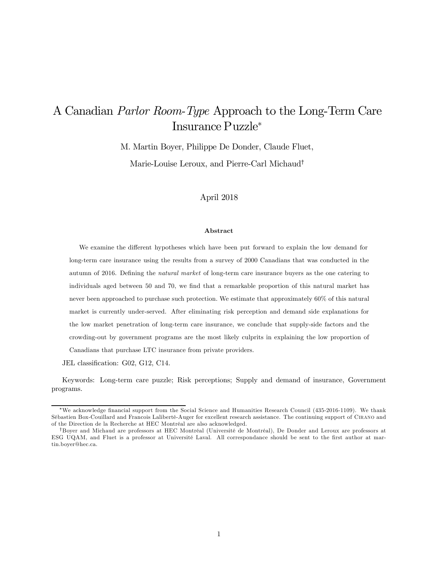# A Canadian Parlor Room-Type Approach to the Long-Term Care Insurance Puzzle<sup>∗</sup>

M. Martin Boyer, Philippe De Donder, Claude Fluet,

Marie-Louise Leroux, and Pierre-Carl Michaud†

#### April 2018

#### Abstract

We examine the different hypotheses which have been put forward to explain the low demand for long-term care insurance using the results from a survey of 2000 Canadians that was conducted in the autumn of 2016. Defining the natural market of long-term care insurance buyers as the one catering to individuals aged between 50 and 70, we find that a remarkable proportion of this natural market has never been approached to purchase such protection. We estimate that approximately 60% of this natural market is currently under-served. After eliminating risk perception and demand side explanations for the low market penetration of long-term care insurance, we conclude that supply-side factors and the crowding-out by government programs are the most likely culprits in explaining the low proportion of Canadians that purchase LTC insurance from private providers.

JEL classification: G02, G12, C14.

Keywords: Long-term care puzzle; Risk perceptions; Supply and demand of insurance, Government programs.

<sup>∗</sup>We acknowledge financial support from the Social Science and Humanities Research Council (435-2016-1109). We thank Sébastien Box-Couillard and Francois Laliberté-Auger for excellent research assistance. The continuing support of Cirano and of the Direction de la Recherche at HEC Montréal are also acknowledged.

<sup>†</sup>Boyer and Michaud are professors at HEC Montréal (Université de Montréal), De Donder and Leroux are professors at ESG UQAM, and Fluet is a professor at Université Laval. All correspondance should be sent to the first author at martin.boyer@hec.ca.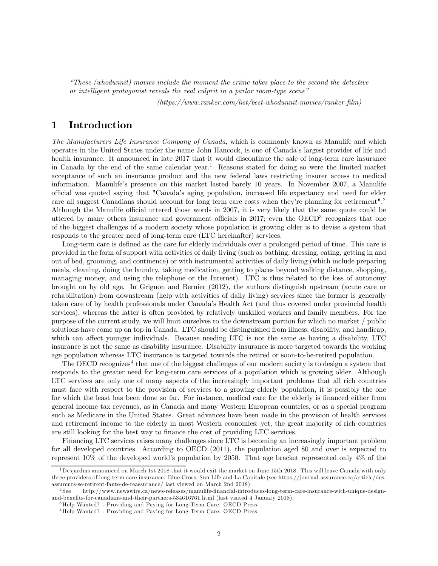"These (whodunnit) movies include the moment the crime takes place to the second the detective or intelligent protagonist reveals the real culprit in a parlor room-type scene"

(https://www.ranker.com/list/best-whodunnit-movies/ranker-film)

## 1 Introduction

The Manufacturers Life Insurance Company of Canada, which is commonly known as Manulife and which operates in the United States under the name John Hancock, is one of Canada's largest provider of life and health insurance. It announced in late 2017 that it would discontinue the sale of long-term care insurance in Canada by the end of the same calendar year.<sup>1</sup> Reasons stated for doing so were the limited market acceptance of such an insurance product and the new federal laws restricting insurer access to medical information. Manulife's presence on this market lasted barely 10 years. In November 2007, a Manulife official was quoted saying that "Canada's aging population, increased life expectancy and need for elder care all suggest Canadians should account for long term care costs when they're planning for retirement".<sup>2</sup> Although the Manulife official uttered those words in 2007, it is very likely that the same quote could be uttered by many others insurance and government officials in 2017; even the OECD<sup>3</sup> recognizes that one of the biggest challenges of a modern society whose population is growing older is to devise a system that responds to the greater need of long-term care (LTC hereinafter) services.

Long-term care is defined as the care for elderly individuals over a prolonged period of time. This care is provided in the form of support with activities of daily living (such as bathing, dressing, eating, getting in and out of bed, grooming, and continence) or with instrumental activities of daily living (which include preparing meals, cleaning, doing the laundry, taking medication, getting to places beyond walking distance, shopping, managing money, and using the telephone or the Internet). LTC is thus related to the loss of autonomy brought on by old age. In Grignon and Bernier (2012), the authors distinguish upstream (acute care or rehabilitation) from downstream (help with activities of daily living) services since the former is generally taken care of by health professionals under Canada's Health Act (and thus covered under provincial health services), whereas the latter is often provided by relatively unskilled workers and family members. For the purpose of the current study, we will limit ourselves to the downstream portion for which no market / public solutions have come up on top in Canada. LTC should be distinguished from illness, disability, and handicap, which can affect younger individuals. Because needing LTC is not the same as having a disability, LTC insurance is not the same as disability insurance. Disability insurance is more targeted towards the working age population whereas LTC insurance is targeted towards the retired or soon-to-be-retired population.

The OECD recognizes<sup>4</sup> that one of the biggest challenges of our modern society is to design a system that responds to the greater need for long-term care services of a population which is growing older. Although LTC services are only one of many aspects of the increasingly important problems that all rich countries must face with respect to the provision of services to a growing elderly population, it is possibly the one for which the least has been done so far. For instance, medical care for the elderly is financed either from general income tax revenues, as in Canada and many Western European countries, or as a special program such as Medicare in the United States. Great advances have been made in the provision of health services and retirement income to the elderly in most Western economies; yet, the great majority of rich countries are still looking for the best way to finance the cost of providing LTC services.

Financing LTC services raises many challenges since LTC is becoming an increasingly important problem for all developed countries. According to OECD (2011), the population aged 80 and over is expected to represent 10% of the developed world's population by 2050. That age bracket represented only 4% of the

<sup>&</sup>lt;sup>1</sup>Desjardins announced on March 1st 2018 that it would exit the market on June 15th 2018. This will leave Canada with only three providers of long-term care insurance: Blue Cross, Sun Life and La Capitale (see https://journal-assurance.ca/article/desassureurs-se-retirent-faute-de-reassurance/ last viewed on March 2nd 2018)

<sup>2</sup> See http://www.newswire.ca/news-releases/manulife-financial-introduces-long-term-care-insurance-with-unique-designand-benefits-for-canadians-and-their-partners-534616761.html (last visited 4 January 2018).

<sup>3</sup>Help Wanted? - Providing and Paying for Long-Term Care. OECD Press.

<sup>4</sup>Help Wanted? - Providing and Paying for Long-Term Care. OECD Press.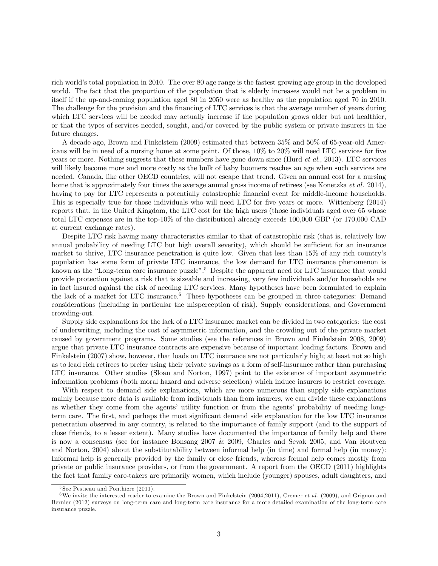rich world's total population in 2010. The over 80 age range is the fastest growing age group in the developed world. The fact that the proportion of the population that is elderly increases would not be a problem in itself if the up-and-coming population aged 80 in 2050 were as healthy as the population aged 70 in 2010. The challenge for the provision and the financing of LTC services is that the average number of years during which LTC services will be needed may actually increase if the population grows older but not healthier, or that the types of services needed, sought, and/or covered by the public system or private insurers in the future changes.

A decade ago, Brown and Finkelstein (2009) estimated that between 35% and 50% of 65-year-old Americans will be in need of a nursing home at some point. Of those, 10% to 20% will need LTC services for five years or more. Nothing suggests that these numbers have gone down since (Hurd et al., 2013). LTC services will likely become more and more costly as the bulk of baby boomers reaches an age when such services are needed. Canada, like other OECD countries, will not escape that trend. Given an annual cost for a nursing home that is approximately four times the average annual gross income of retirees (see Konetzka et al. 2014), having to pay for LTC represents a potentially catastrophic financial event for middle-income households. This is especially true for those individuals who will need LTC for five years or more. Wittenberg (2014) reports that, in the United Kingdom, the LTC cost for the high users (those individuals aged over 65 whose total LTC expenses are in the top-10% of the distribution) already exceeds 100,000 GBP (or 170,000 CAD at current exchange rates).

Despite LTC risk having many characteristics similar to that of catastrophic risk (that is, relatively low annual probability of needing LTC but high overall severity), which should be sufficient for an insurance market to thrive, LTC insurance penetration is quite low. Given that less than 15% of any rich country's population has some form of private LTC insurance, the low demand for LTC insurance phenomenon is known as the "Long-term care insurance puzzle".<sup>5</sup> Despite the apparent need for LTC insurance that would provide protection against a risk that is sizeable and increasing, very few individuals and/or households are in fact insured against the risk of needing LTC services. Many hypotheses have been formulated to explain the lack of a market for LTC insurance.<sup>6</sup> These hypotheses can be grouped in three categories: Demand considerations (including in particular the misperception of risk), Supply considerations, and Government crowding-out.

Supply side explanations for the lack of a LTC insurance market can be divided in two categories: the cost of underwriting, including the cost of asymmetric information, and the crowding out of the private market caused by government programs. Some studies (see the references in Brown and Finkelstein 2008, 2009) argue that private LTC insurance contracts are expensive because of important loading factors. Brown and Finkelstein (2007) show, however, that loads on LTC insurance are not particularly high; at least not so high as to lead rich retirees to prefer using their private savings as a form of self-insurance rather than purchasing LTC insurance. Other studies (Sloan and Norton, 1997) point to the existence of important asymmetric information problems (both moral hazard and adverse selection) which induce insurers to restrict coverage.

With respect to demand side explanations, which are more numerous than supply side explanations mainly because more data is available from individuals than from insurers, we can divide these explanations as whether they come from the agents' utility function or from the agents' probability of needing longterm care. The first, and perhaps the most significant demand side explanation for the low LTC insurance penetration observed in any country, is related to the importance of family support (and to the support of close friends, to a lesser extent). Many studies have documented the importance of family help and there is now a consensus (see for instance Bonsang 2007 & 2009, Charles and Sevak 2005, and Van Houtven and Norton, 2004) about the substitutability between informal help (in time) and formal help (in money): Informal help is generally provided by the family or close friends, whereas formal help comes mostly from private or public insurance providers, or from the government. A report from the OECD (2011) highlights the fact that family care-takers are primarily women, which include (younger) spouses, adult daughters, and

 $5$  See Pestieau and Ponthiere  $(2011)$ .

<sup>&</sup>lt;sup>6</sup>We invite the interested reader to examine the Brown and Finkelstein (2004,2011), Cremer *et al.* (2009), and Grignon and Bernier (2012) surveys on long-term care and long-term care insurance for a more detailed examination of the long-term care insurance puzzle.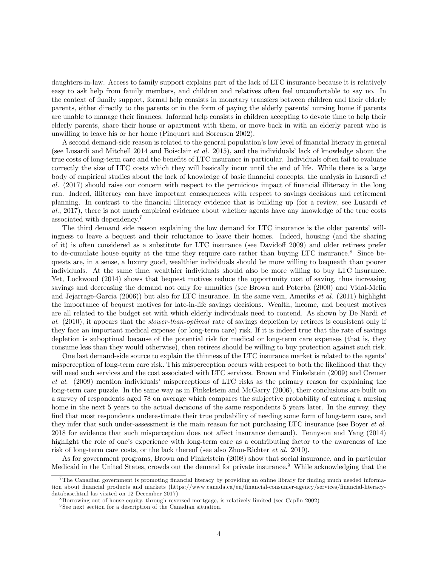daughters-in-law. Access to family support explains part of the lack of LTC insurance because it is relatively easy to ask help from family members, and children and relatives often feel uncomfortable to say no. In the context of family support, formal help consists in monetary transfers between children and their elderly parents, either directly to the parents or in the form of paying the elderly parents' nursing home if parents are unable to manage their finances. Informal help consists in children accepting to devote time to help their elderly parents, share their house or apartment with them, or move back in with an elderly parent who is unwilling to leave his or her home (Pinquart and Sorensen 2002).

A second demand-side reason is related to the general population's low level of financial literacy in general (see Lusardi and Mitchell 2014 and Boisclair et al. 2015), and the individuals' lack of knowledge about the true costs of long-term care and the benefits of LTC insurance in particular. Individuals often fail to evaluate correctly the size of LTC costs which they will basically incur until the end of life. While there is a large body of empirical studies about the lack of knowledge of basic financial concepts, the analysis in Lusardi et al. (2017) should raise our concern with respect to the pernicious impact of financial illiteracy in the long run. Indeed, illiteracy can have important consequences with respect to savings decisions and retirement planning. In contrast to the financial illiteracy evidence that is building up (for a review, see Lusardi et al., 2017), there is not much empirical evidence about whether agents have any knowledge of the true costs associated with dependency.<sup>7</sup>

The third demand side reason explaining the low demand for LTC insurance is the older parents' willingness to leave a bequest and their reluctance to leave their homes. Indeed, housing (and the sharing of it) is often considered as a substitute for LTC insurance (see Davidoff 2009) and older retirees prefer to de-cumulate house equity at the time they require care rather than buying LTC insurance.<sup>8</sup> Since bequests are, in a sense, a luxury good, wealthier individuals should be more willing to bequeath than poorer individuals. At the same time, wealthier individuals should also be more willing to buy LTC insurance. Yet, Lockwood (2014) shows that bequest motives reduce the opportunity cost of saving, thus increasing savings and decreasing the demand not only for annuities (see Brown and Poterba (2000) and Vidal-Melia and Jejarrage-Garcia (2006)) but also for LTC insurance. In the same vein, Ameriks et al. (2011) highlight the importance of bequest motives for late-in-life savings decisions. Wealth, income, and bequest motives are all related to the budget set with which elderly individuals need to contend. As shown by De Nardi et al. (2010), it appears that the *slower-than-optimal* rate of savings depletion by retirees is consistent only if they face an important medical expense (or long-term care) risk. If it is indeed true that the rate of savings depletion is suboptimal because of the potential risk for medical or long-term care expenses (that is, they consume less than they would otherwise), then retirees should be willing to buy protection against such risk.

One last demand-side source to explain the thinness of the LTC insurance market is related to the agents' misperception of long-term care risk. This misperception occurs with respect to both the likelihood that they will need such services and the cost associated with LTC services. Brown and Finkelstein (2009) and Cremer et al. (2009) mention individuals' misperceptions of LTC risks as the primary reason for explaining the long-term care puzzle. In the same way as in Finkelstein and McGarry (2006), their conclusions are built on a survey of respondents aged 78 on average which compares the subjective probability of entering a nursing home in the next 5 years to the actual decisions of the same respondents 5 years later. In the survey, they find that most respondents underestimate their true probability of needing some form of long-term care, and they infer that such under-assessment is the main reason for not purchasing LTC insurance (see Boyer et al. 2018 for evidence that such misperception does not affect insurance demand). Tennyson and Yang (2014) highlight the role of one's experience with long-term care as a contributing factor to the awareness of the risk of long-term care costs, or the lack thereof (see also Zhou-Richter et al. 2010).

As for government programs, Brown and Finkelstein (2008) show that social insurance, and in particular Medicaid in the United States, crowds out the demand for private insurance.9 While acknowledging that the

<sup>7</sup>The Canadian government is promoting financial literacy by providing an online library for finding much needed information about financial products and markets (https://www.canada.ca/en/financial-consumer-agency/services/financial-literacydatabase.html las visited on 12 December 2017)

<sup>8</sup> Borrowing out of house equity, through reversed mortgage, is relatively limited (see Caplin 2002)

<sup>9</sup> See next section for a description of the Canadian situation.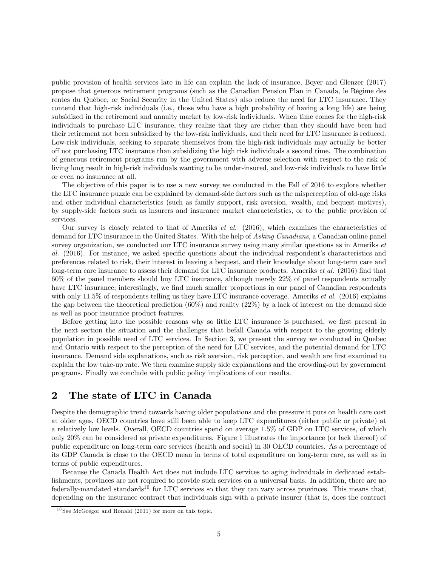public provision of health services late in life can explain the lack of insurance, Boyer and Glenzer (2017) propose that generous retirement programs (such as the Canadian Pension Plan in Canada, le Régime des rentes du Québec, or Social Security in the United States) also reduce the need for LTC insurance. They contend that high-risk individuals (i.e., those who have a high probability of having a long life) are being subsidized in the retirement and annuity market by low-risk individuals. When time comes for the high-risk individuals to purchase LTC insurance, they realize that they are richer than they should have been had their retirement not been subsidized by the low-risk individuals, and their need for LTC insurance is reduced. Low-risk individuals, seeking to separate themselves from the high-risk individuals may actually be better off not purchasing LTC insurance than subsidizing the high risk individuals a second time. The combination of generous retirement programs run by the government with adverse selection with respect to the risk of living long result in high-risk individuals wanting to be under-insured, and low-risk individuals to have little or even no insurance at all.

The objective of this paper is to use a new survey we conducted in the Fall of 2016 to explore whether the LTC insurance puzzle can be explained by demand-side factors such as the misperception of old-age risks and other individual characteristics (such as family support, risk aversion, wealth, and bequest motives), by supply-side factors such as insurers and insurance market characteristics, or to the public provision of services.

Our survey is closely related to that of Ameriks et al. (2016), which examines the characteristics of demand for LTC insurance in the United States. With the help of Asking Canadians, a Canadian online panel survey organization, we conducted our LTC insurance survey using many similar questions as in Ameriks *et* al. (2016). For instance, we asked specific questions about the individual respondent's characteristics and preferences related to risk, their interest in leaving a bequest, and their knowledge about long-term care and long-term care insurance to assess their demand for LTC insurance products. Ameriks *et al.* (2016) find that 60% of the panel members should buy LTC insurance, although merely 22% of panel respondents actually have LTC insurance; interestingly, we find much smaller proportions in our panel of Canadian respondents with only 11.5% of respondents telling us they have LTC insurance coverage. Ameriks *et al.* (2016) explains the gap between the theoretical prediction (60%) and reality (22%) by a lack of interest on the demand side as well as poor insurance product features.

Before getting into the possible reasons why so little LTC insurance is purchased, we first present in the next section the situation and the challenges that befall Canada with respect to the growing elderly population in possible need of LTC services. In Section 3, we present the survey we conducted in Quebec and Ontario with respect to the perception of the need for LTC services, and the potential demand for LTC insurance. Demand side explanations, such as risk aversion, risk perception, and wealth are first examined to explain the low take-up rate. We then examine supply side explanations and the crowding-out by government programs. Finally we conclude with public policy implications of our results.

# 2 The state of LTC in Canada

Despite the demographic trend towards having older populations and the pressure it puts on health care cost at older ages, OECD countries have still been able to keep LTC expenditures (either public or private) at a relatively low levels. Overall, OECD countries spend on average 1.5% of GDP on LTC services, of which only 20% can be considered as private expenditures. Figure 1 illustrates the importance (or lack thereof) of public expenditure on long-term care services (health and social) in 30 OECD countries. As a percentage of its GDP Canada is close to the OECD mean in terms of total expenditure on long-term care, as well as in terms of public expenditures.

Because the Canada Health Act does not include LTC services to aging individuals in dedicated establishments, provinces are not required to provide such services on a universal basis. In addition, there are no federally-mandated standards<sup>10</sup> for LTC services so that they can vary across provinces. This means that, depending on the insurance contract that individuals sign with a private insurer (that is, does the contract

 $10$  See McGregor and Ronald (2011) for more on this topic.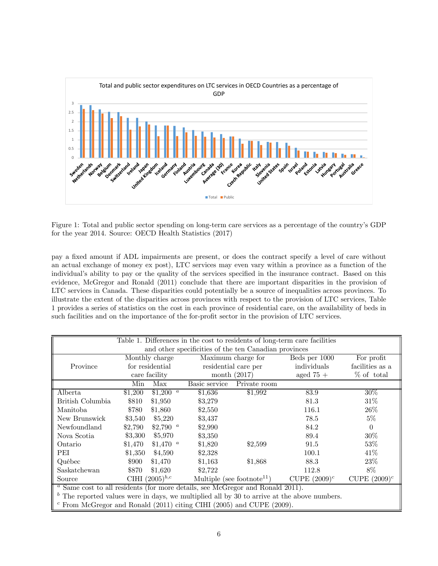

Figure 1: Total and public sector spending on long-term care services as a percentage of the country's GDP for the year 2014. Source: OECD Health Statistics (2017)

pay a fixed amount if ADL impairments are present, or does the contract specify a level of care without an actual exchange of money ex post), LTC services may even vary within a province as a function of the individual's ability to pay or the quality of the services specified in the insurance contract. Based on this evidence, McGregor and Ronald (2011) conclude that there are important disparities in the provision of LTC services in Canada. These disparities could potentially be a source of inequalities across provinces. To illustrate the extent of the disparities across provinces with respect to the provision of LTC services, Table 1 provides a series of statistics on the cost in each province of residential care, on the availability of beds in such facilities and on the importance of the for-profit sector in the provision of LTC services.

| Table 1. Differences in the cost to residents of long-term care facilities                    |                                                                                                     |                       |                |                      |               |                 |  |  |
|-----------------------------------------------------------------------------------------------|-----------------------------------------------------------------------------------------------------|-----------------------|----------------|----------------------|---------------|-----------------|--|--|
| and other specificities of the ten Canadian provinces                                         |                                                                                                     |                       |                |                      |               |                 |  |  |
|                                                                                               |                                                                                                     | Monthly charge        |                | Maximum charge for   | Beds per 1000 | For profit      |  |  |
| Province                                                                                      |                                                                                                     | for residential       |                | residential care per | individuals   | facilities as a |  |  |
|                                                                                               |                                                                                                     | care facility         | month $(2017)$ |                      | aged $75+$    | % of total      |  |  |
|                                                                                               | Min                                                                                                 | Max                   | Basic service  | Private room         |               |                 |  |  |
| Alberta                                                                                       | \$1,200                                                                                             | $$1,200$ <sup>a</sup> | \$1,636        | \$1,992              | 83.9          | 30%             |  |  |
| British Columbia                                                                              | \$810                                                                                               | \$1,950               | \$3,279        |                      | 81.3          | 31\%            |  |  |
| Manitoba                                                                                      | \$780                                                                                               | \$1,860               | \$2,550        |                      | 116.1         | 26\%            |  |  |
| New Brunswick                                                                                 | \$3,540                                                                                             | \$5,220               | \$3,437        |                      | 78.5          | $5\%$           |  |  |
| Newfoundland                                                                                  | \$2,790                                                                                             | \$2,790 $^a$          | \$2,990        |                      | 84.2          | $\Omega$        |  |  |
| Nova Scotia                                                                                   | \$3,300                                                                                             | \$5,970               | \$3,350        |                      | 89.4          | 30%             |  |  |
| Ontario                                                                                       | \$1,470                                                                                             | \$1,470 $^{a}$        | \$1,820        | \$2,599              | 91.5          | 53%             |  |  |
| PEI                                                                                           | \$1,350                                                                                             | \$4,590               | \$2,328        |                      | 100.1         | 41\%            |  |  |
| Québec                                                                                        | \$900                                                                                               | \$1,470               | \$1,163        | \$1,868              | 88.3          | $23\%$          |  |  |
| Saskatchewan                                                                                  | \$870                                                                                               | \$1,620               | \$2,722        |                      | 112.8         | 8%              |  |  |
| Source                                                                                        | CIHI $(2005)^{b,c}$<br>Multiple (see footnote <sup>11</sup> )<br>CUPE $(2009)^c$<br>CUPE $(2009)^c$ |                       |                |                      |               |                 |  |  |
| $a$ Same cost to all residents (for more details, see McGregor and Ronald 2011).              |                                                                                                     |                       |                |                      |               |                 |  |  |
| $b$ The reported values were in days, we multiplied all by 30 to arrive at the above numbers. |                                                                                                     |                       |                |                      |               |                 |  |  |
|                                                                                               | $c$ From McGregor and Ronald (2011) citing CIHI (2005) and CUPE (2009).                             |                       |                |                      |               |                 |  |  |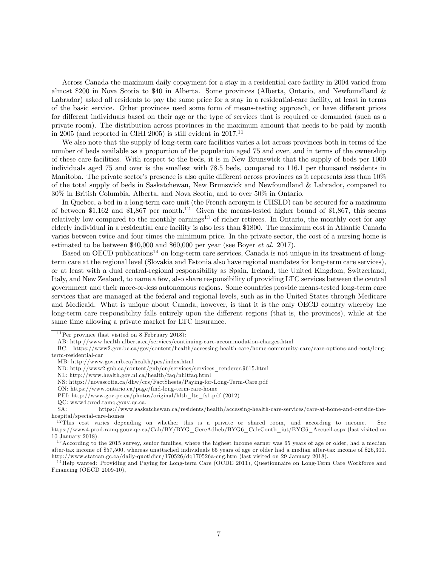Across Canada the maximum daily copayment for a stay in a residential care facility in 2004 varied from almost \$200 in Nova Scotia to \$40 in Alberta. Some provinces (Alberta, Ontario, and Newfoundland & Labrador) asked all residents to pay the same price for a stay in a residential-care facility, at least in terms of the basic service. Other provinces used some form of means-testing approach, or have different prices for different individuals based on their age or the type of services that is required or demanded (such as a private room). The distribution across provinces in the maximum amount that needs to be paid by month in 2005 (and reported in CIHI 2005) is still evident in  $2017$ .<sup>11</sup>

We also note that the supply of long-term care facilities varies a lot across provinces both in terms of the number of beds available as a proportion of the population aged 75 and over, and in terms of the ownership of these care facilities. With respect to the beds, it is in New Brunswick that the supply of beds per 1000 individuals aged 75 and over is the smallest with 78.5 beds, compared to 116.1 per thousand residents in Manitoba. The private sector's presence is also quite different across provinces as it represents less than 10% of the total supply of beds in Saskatchewan, New Brunswick and Newfoundland & Labrador, compared to 30% in British Columbia, Alberta, and Nova Scotia, and to over 50% in Ontario.

In Quebec, a bed in a long-term care unit (the French acronym is CHSLD) can be secured for a maximum of between \$1,162 and \$1,867 per month.<sup>12</sup> Given the means-tested higher bound of \$1,867, this seems relatively low compared to the monthly earnings<sup>13</sup> of richer retirees. In Ontario, the monthly cost for any elderly individual in a residential care facility is also less than \$1800. The maximum cost in Atlantic Canada varies between twice and four times the minimum price. In the private sector, the cost of a nursing home is estimated to be between \$40,000 and \$60,000 per year (see Boyer *et al.* 2017).

Based on OECD publications<sup>14</sup> on long-term care services, Canada is not unique in its treatment of longterm care at the regional level (Slovakia and Estonia also have regional mandates for long-term care services), or at least with a dual central-regional responsibility as Spain, Ireland, the United Kingdom, Switzerland, Italy, and New Zealand, to name a few, also share responsibility of providing LTC services between the central government and their more-or-less autonomous regions. Some countries provide means-tested long-term care services that are managed at the federal and regional levels, such as in the United States through Medicare and Medicaid. What is unique about Canada, however, is that it is the only OECD country whereby the long-term care responsibility falls entirely upon the different regions (that is, the provinces), while at the same time allowing a private market for LTC insurance.

ON: https://www.ontario.ca/page/find-long-term-care-home

 $11$  Per province (last visited on 8 February 2018):

AB: http://www.health.alberta.ca/services/continuing-care-accommodation-charges.html

BC: https://www2.gov.bc.ca/gov/content/health/accessing-health-care/home-community-care/care-options-and-cost/long-

term-residential-car

MB: http://www.gov.mb.ca/health/pcs/index.html

NB: http://www2.gnb.ca/content/gnb/en/services/services\_renderer.9615.html

NL: http://www.health.gov.nl.ca/health/faq/nhltfaq.html

NS: https://novascotia.ca/dhw/ccs/FactSheets/Paying-for-Long-Term-Care.pdf

PEI: http://www.gov.pe.ca/photos/original/hlth\_ltc\_fs1.pdf (2012)

QC: www4.prod.ramq.gouv.qc.ca.

SA: https://www.saskatchewan.ca/residents/health/accessing-health-care-services/care-at-home-and-outside-thehospital/special-care-homes

 $12$ This cost varies depending on whether this is a private or shared room, and according to income. See https://www4.prod.ramq.gouv.qc.ca/Cah/BY/BYG\_GereAdheb/BYG6\_CalcContb\_iut/BYG6\_Accueil.aspx (last visited on 10 January 2018).

<sup>&</sup>lt;sup>13</sup> According to the 2015 survey, senior families, where the highest income earner was 65 years of age or older, had a median after-tax income of \$57,500, whereas unattached individuals 65 years of age or older had a median after-tax income of \$26,300. http://www.statcan.gc.ca/daily-quotidien/170526/dq170526a-eng.htm (last visited on 29 January 2018).

<sup>&</sup>lt;sup>14</sup> Help wanted: Providing and Paying for Long-term Care (OCDE 2011), Questionnaire on Long-Term Care Workforce and Financing (OECD 2009-10),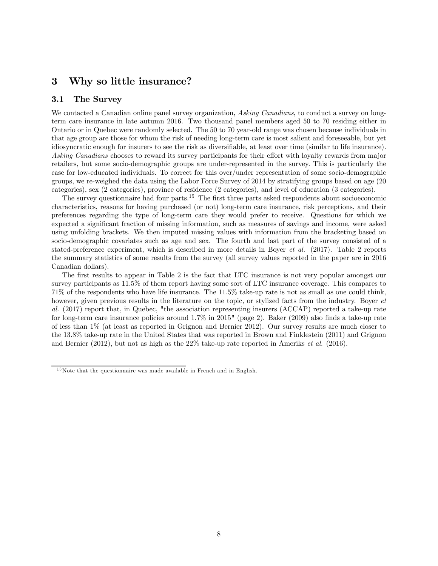# 3 Why so little insurance?

#### 3.1 The Survey

We contacted a Canadian online panel survey organization, Asking Canadians, to conduct a survey on longterm care insurance in late autumn 2016. Two thousand panel members aged 50 to 70 residing either in Ontario or in Quebec were randomly selected. The 50 to 70 year-old range was chosen because individuals in that age group are those for whom the risk of needing long-term care is most salient and foreseeable, but yet idiosyncratic enough for insurers to see the risk as diversifiable, at least over time (similar to life insurance). Asking Canadians chooses to reward its survey participants for their effort with loyalty rewards from major retailers, but some socio-demographic groups are under-represented in the survey. This is particularly the case for low-educated individuals. To correct for this over/under representation of some socio-demographic groups, we re-weighed the data using the Labor Force Survey of 2014 by stratifying groups based on age (20 categories), sex (2 categories), province of residence (2 categories), and level of education (3 categories).

The survey questionnaire had four parts.<sup>15</sup> The first three parts asked respondents about socioeconomic characteristics, reasons for having purchased (or not) long-term care insurance, risk perceptions, and their preferences regarding the type of long-term care they would prefer to receive. Questions for which we expected a significant fraction of missing information, such as measures of savings and income, were asked using unfolding brackets. We then imputed missing values with information from the bracketing based on socio-demographic covariates such as age and sex. The fourth and last part of the survey consisted of a stated-preference experiment, which is described in more details in Boyer et al. (2017). Table 2 reports the summary statistics of some results from the survey (all survey values reported in the paper are in 2016 Canadian dollars).

The first results to appear in Table 2 is the fact that LTC insurance is not very popular amongst our survey participants as 11.5% of them report having some sort of LTC insurance coverage. This compares to 71% of the respondents who have life insurance. The 11.5% take-up rate is not as small as one could think, however, given previous results in the literature on the topic, or stylized facts from the industry. Boyer et al. (2017) report that, in Quebec, "the association representing insurers (ACCAP) reported a take-up rate for long-term care insurance policies around 1.7% in 2015" (page 2). Baker (2009) also finds a take-up rate of less than 1% (at least as reported in Grignon and Bernier 2012). Our survey results are much closer to the 13.8% take-up rate in the United States that was reported in Brown and Finklestein (2011) and Grignon and Bernier  $(2012)$ , but not as high as the  $22\%$  take-up rate reported in Ameriks *et al.* (2016).

 $15$ Note that the questionnaire was made available in French and in English.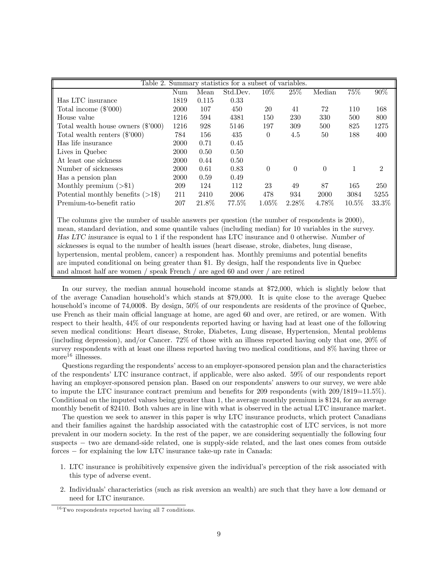|                                                                                                                                                                                                                                | Table 2. Summary statistics for a subset of variables. |       |          |          |          |          |          |                             |
|--------------------------------------------------------------------------------------------------------------------------------------------------------------------------------------------------------------------------------|--------------------------------------------------------|-------|----------|----------|----------|----------|----------|-----------------------------|
|                                                                                                                                                                                                                                | Num                                                    | Mean  | Std.Dev. | $10\%$   | 25%      | Median   | 75\%     | 90%                         |
| Has LTC insurance                                                                                                                                                                                                              | 1819                                                   | 0.115 | 0.33     |          |          |          |          |                             |
| Total income $(\$'000)$                                                                                                                                                                                                        | 2000                                                   | 107   | 450      | 20       | 41       | 72       | 110      | 168                         |
| House value                                                                                                                                                                                                                    | 1216                                                   | 594   | 4381     | 150      | 230      | 330      | 500      | 800                         |
| Total wealth house owners $(\$'000)$                                                                                                                                                                                           | 1216                                                   | 928   | 5146     | 197      | 309      | 500      | 825      | 1275                        |
| Total wealth renters $(\$'000)$                                                                                                                                                                                                | 784                                                    | 156   | 435      | $\theta$ | 4.5      | 50       | 188      | 400                         |
| Has life insurance                                                                                                                                                                                                             | 2000                                                   | 0.71  | 0.45     |          |          |          |          |                             |
| Lives in Quebec                                                                                                                                                                                                                | 2000                                                   | 0.50  | 0.50     |          |          |          |          |                             |
| At least one sickness                                                                                                                                                                                                          | 2000                                                   | 0.44  | 0.50     |          |          |          |          |                             |
| Number of sicknesses                                                                                                                                                                                                           | 2000                                                   | 0.61  | 0.83     | $\Omega$ | $\Omega$ | $\Omega$ |          | $\mathcal{D}_{\mathcal{L}}$ |
| Has a pension plan                                                                                                                                                                                                             | 2000                                                   | 0.59  | 0.49     |          |          |          |          |                             |
| Monthly premium $(>\,$ \$1)                                                                                                                                                                                                    | 209                                                    | 124   | 112      | 23       | 49       | 87       | 165      | 250                         |
| Potential monthly benefits $($ >1\\\sphash} \sphash \sphash \sphash \sphash \sphash \sphash \sphash \sphash \sphash \sphash \sphash \sphash \sphash \sphash \sphash \sphash \sphash \sphash \sphash \sphash \sphash \sphash \s | 211                                                    | 2410  | 2006     | 478      | 934      | 2000     | 3084     | 5255                        |
| Premium-to-benefit ratio                                                                                                                                                                                                       | 207                                                    | 21.8% | 77.5%    | $1.05\%$ | $2.28\%$ | 4.78\%   | $10.5\%$ | $33.3\%$                    |

The columns give the number of usable answers per question (the number of respondents is 2000), mean, standard deviation, and some quantile values (including median) for 10 variables in the survey. Has LTC insurance is equal to 1 if the respondent has LTC insurance and 0 otherwise. Number of sicknesses is equal to the number of health issues (heart disease, stroke, diabetes, lung disease, hypertension, mental problem, cancer) a respondent has. Monthly premiums and potential benefits are imputed conditional on being greater than \$1. By design, half the respondents live in Quebec and almost half are women / speak French / are aged 60 and over / are retired

In our survey, the median annual household income stands at \$72,000, which is slightly below that of the average Canadian household's which stands at \$79,000. It is quite close to the average Quebec household's income of 74,000\$. By design,  $50\%$  of our respondents are residents of the province of Quebec, use French as their main official language at home, are aged 60 and over, are retired, or are women. With respect to their health, 44% of our respondents reported having or having had at least one of the following seven medical conditions: Heart disease, Stroke, Diabetes, Lung disease, Hypertension, Mental problems (including depression), and/or Cancer. 72% of those with an illness reported having only that one, 20% of survey respondents with at least one illness reported having two medical conditions, and 8% having three or more<sup>16</sup> illnesses.

Questions regarding the respondents' access to an employer-sponsored pension plan and the characteristics of the respondents' LTC insurance contract, if applicable, were also asked. 59% of our respondents report having an employer-sponsored pension plan. Based on our respondents' answers to our survey, we were able to impute the LTC insurance contract premium and benefits for 209 respondents (with 209/1819=11.5%). Conditional on the imputed values being greater than 1, the average monthly premium is \$124, for an average monthly benefit of \$2410. Both values are in line with what is observed in the actual LTC insurance market.

The question we seek to answer in this paper is why LTC insurance products, which protect Canadians and their families against the hardship associated with the catastrophic cost of LTC services, is not more prevalent in our modern society. In the rest of the paper, we are considering sequentially the following four suspects – two are demand-side related, one is supply-side related, and the last ones comes from outside forces – for explaining the low LTC insurance take-up rate in Canada:

- 1. LTC insurance is prohibitively expensive given the individual's perception of the risk associated with this type of adverse event.
- 2. Individuals' characteristics (such as risk aversion an wealth) are such that they have a low demand or need for LTC insurance.

 $16$ Two respondents reported having all 7 conditions.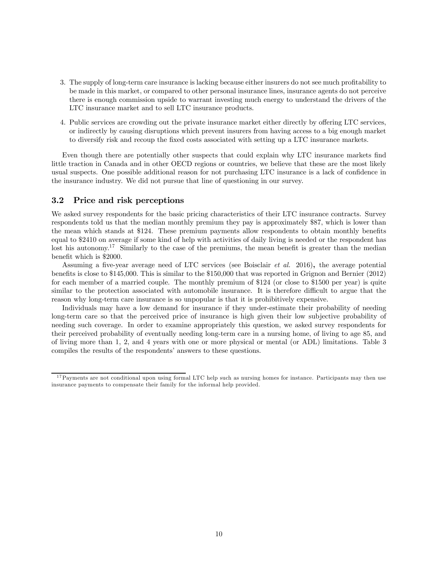- 3. The supply of long-term care insurance is lacking because either insurers do not see much profitability to be made in this market, or compared to other personal insurance lines, insurance agents do not perceive there is enough commission upside to warrant investing much energy to understand the drivers of the LTC insurance market and to sell LTC insurance products.
- 4. Public services are crowding out the private insurance market either directly by offering LTC services, or indirectly by causing disruptions which prevent insurers from having access to a big enough market to diversify risk and recoup the fixed costs associated with setting up a LTC insurance markets.

Even though there are potentially other suspects that could explain why LTC insurance markets find little traction in Canada and in other OECD regions or countries, we believe that these are the most likely usual suspects. One possible additional reason for not purchasing LTC insurance is a lack of confidence in the insurance industry. We did not pursue that line of questioning in our survey.

#### 3.2 Price and risk perceptions

We asked survey respondents for the basic pricing characteristics of their LTC insurance contracts. Survey respondents told us that the median monthly premium they pay is approximately \$87, which is lower than the mean which stands at \$124. These premium payments allow respondents to obtain monthly benefits equal to \$2410 on average if some kind of help with activities of daily living is needed or the respondent has lost his autonomy.<sup>17</sup> Similarly to the case of the premiums, the mean benefit is greater than the median benefit which is \$2000.

Assuming a five-year average need of LTC services (see Boisclair et al. 2016), the average potential benefits is close to \$145,000. This is similar to the \$150,000 that was reported in Grignon and Bernier (2012) for each member of a married couple. The monthly premium of \$124 (or close to \$1500 per year) is quite similar to the protection associated with automobile insurance. It is therefore difficult to argue that the reason why long-term care insurance is so unpopular is that it is prohibitively expensive.

Individuals may have a low demand for insurance if they under-estimate their probability of needing long-term care so that the perceived price of insurance is high given their low subjective probability of needing such coverage. In order to examine appropriately this question, we asked survey respondents for their perceived probability of eventually needing long-term care in a nursing home, of living to age 85, and of living more than 1, 2, and 4 years with one or more physical or mental (or ADL) limitations. Table 3 compiles the results of the respondents' answers to these questions.

<sup>&</sup>lt;sup>17</sup>Payments are not conditional upon using formal LTC help such as nursing homes for instance. Participants may then use insurance payments to compensate their family for the informal help provided.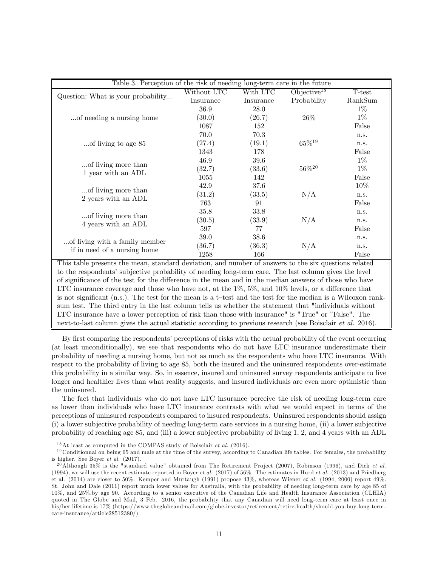| Table 3. Perception of the risk of needing long-term care in the future |             |           |                         |         |
|-------------------------------------------------------------------------|-------------|-----------|-------------------------|---------|
|                                                                         | Without LTC | With LTC  | Objective <sup>18</sup> | T-test  |
| Question: What is your probability                                      | Insurance   | Insurance | Probability             | RankSum |
|                                                                         | 36.9        | 28.0      |                         | $1\%$   |
| of needing a nursing home                                               | (30.0)      | (26.7)    | $26\%$                  | $1\%$   |
|                                                                         | 1087        | 152       |                         | False   |
|                                                                         | 70.0        | 70.3      |                         | n.s.    |
| of living to age 85                                                     | (27.4)      | (19.1)    | $65\%^{19}$             | n.s.    |
|                                                                         | 1343        | 178       |                         | False   |
| of living more than                                                     | 46.9        | 39.6      |                         | $1\%$   |
| 1 year with an ADL                                                      | (32.7)      | (33.6)    | $56\%^{20}$             | $1\%$   |
|                                                                         | 1055        | 142       |                         | False   |
| of living more than                                                     | 42.9        | 37.6      |                         | $10\%$  |
| 2 years with an ADL                                                     | (31.2)      | (33.5)    | N/A                     | n.s.    |
|                                                                         | 763         | 91        |                         | False   |
| of living more than                                                     | 35.8        | 33.8      |                         | n.s.    |
| 4 years with an ADL                                                     | (30.5)      | (33.9)    | N/A                     | n.s.    |
|                                                                         | 597         | 77        |                         | False   |
| of living with a family member                                          | 39.0        | 38.6      |                         | n.s.    |
| if in need of a nursing home                                            | (36.7)      | (36.3)    | N/A                     | n.s.    |
|                                                                         | 1258        | 166       |                         | False   |

This table presents the mean, standard deviation, and number of answers to the six questions related to the respondents' subjective probability of needing long-term care. The last column gives the level of significance of the test for the difference in the mean and in the median answers of those who have LTC insurance coverage and those who have not, at the  $1\%$ ,  $5\%$ , and  $10\%$  levels, or a difference that is not significant (n.s.). The test for the mean is a t—test and the test for the median is a Wilcoxon ranksum test. The third entry in the last column tells us whether the statement that "individuals without LTC insurance have a lower perception of risk than those with insurance" is "True" or "False". The next-to-last column gives the actual statistic according to previous research (see Boisclair *et al.* 2016).

By first comparing the respondents' perceptions of risks with the actual probability of the event occurring (at least unconditionally), we see that respondents who do not have LTC insurance underestimate their probability of needing a nursing home, but not as much as the respondents who have LTC insurance. With respect to the probability of living to age 85, both the insured and the uninsured respondents over-estimate this probability in a similar way. So, in essence, insured and uninsured survey respondents anticipate to live longer and healthier lives than what reality suggests, and insured individuals are even more optimistic than the uninsured.

The fact that individuals who do not have LTC insurance perceive the risk of needing long-term care as lower than individuals who have LTC insurance contrasts with what we would expect in terms of the perceptions of uninsured respondents compared to insured respondents. Uninsured respondents should assign (i) a lower subjective probability of needing long-term care services in a nursing home, (ii) a lower subjective probability of reaching age 85, and (iii) a lower subjective probability of living 1, 2, and 4 years with an ADL

 $18$ At least as computed in the COMPAS study of Boisclair *et al.* (2016).

 $19$  Conditionnal on being 65 and male at the time of the survey, according to Canadian life tables. For females, the probability is higher. See Boyer et al. (2017).

<sup>&</sup>lt;sup>20</sup>Although 35% is the "standard value" obtained from The Retirement Project (2007), Robinson (1996), and Dick et al. (1994), we will use the recent estimate reported in Boyer *et al.* (2017) of 56%. The estimates in Hurd *et al.* (2013) and Friedberg et al. (2014) are closer to 50%. Kemper and Murtaugh (1991) propose 43%, whereas Wiener et al. (1994, 2000) report 49%. St. John and Dale (2011) report much lower values for Australia, with the probability of needing long-term care by age 85 of 10%, and 25%.by age 90. According to a senior executive of the Canadian Life and Health Insurance Association (CLHIA) quoted in The Globe and Mail, 3 Feb. 2016, the probability that any Canadian will need long-term care at least once in his/her lifetime is 17% (https://www.theglobeandmail.com/globe-investor/retirement/retire-health/should-you-buy-long-termcare-insurance/article28512380/).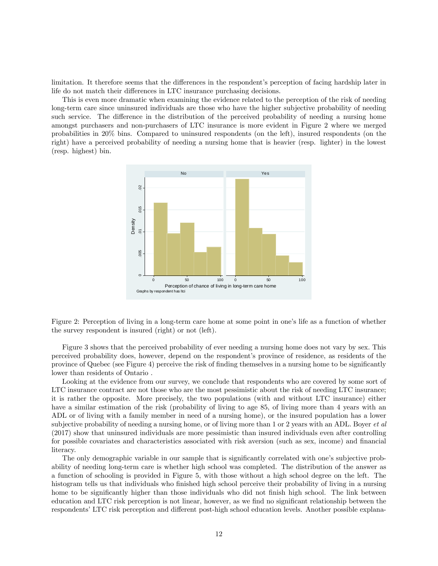limitation. It therefore seems that the differences in the respondent's perception of facing hardship later in life do not match their differences in LTC insurance purchasing decisions.

This is even more dramatic when examining the evidence related to the perception of the risk of needing long-term care since uninsured individuals are those who have the higher subjective probability of needing such service. The difference in the distribution of the perceived probability of needing a nursing home amongst purchasers and non-purchasers of LTC insurance is more evident in Figure 2 where we merged probabilities in 20% bins. Compared to uninsured respondents (on the left), insured respondents (on the right) have a perceived probability of needing a nursing home that is heavier (resp. lighter) in the lowest (resp. highest) bin.



Figure 2: Perception of living in a long-term care home at some point in one's life as a function of whether the survey respondent is insured (right) or not (left).

Figure 3 shows that the perceived probability of ever needing a nursing home does not vary by sex. This perceived probability does, however, depend on the respondent's province of residence, as residents of the province of Quebec (see Figure 4) perceive the risk of finding themselves in a nursing home to be significantly lower than residents of Ontario .

Looking at the evidence from our survey, we conclude that respondents who are covered by some sort of LTC insurance contract are not those who are the most pessimistic about the risk of needing LTC insurance; it is rather the opposite. More precisely, the two populations (with and without LTC insurance) either have a similar estimation of the risk (probability of living to age 85, of living more than 4 years with an ADL or of living with a family member in need of a nursing home), or the insured population has a lower subjective probability of needing a nursing home, or of living more than 1 or 2 years with an ADL. Boyer *et al.* (2017) show that uninsured individuals are more pessimistic than insured individuals even after controlling for possible covariates and characteristics associated with risk aversion (such as sex, income) and financial literacy.

The only demographic variable in our sample that is significantly correlated with one's subjective probability of needing long-term care is whether high school was completed. The distribution of the answer as a function of schooling is provided in Figure 5, with those without a high school degree on the left. The histogram tells us that individuals who finished high school perceive their probability of living in a nursing home to be significantly higher than those individuals who did not finish high school. The link between education and LTC risk perception is not linear, however, as we find no significant relationship between the respondents' LTC risk perception and different post-high school education levels. Another possible explana-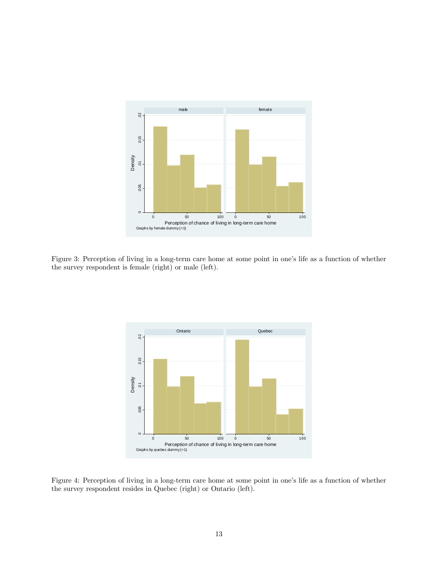

Figure 3: Perception of living in a long-term care home at some point in one's life as a function of whether the survey respondent is female (right) or male (left).



Figure 4: Perception of living in a long-term care home at some point in one's life as a function of whether the survey respondent resides in Quebec (right) or Ontario (left).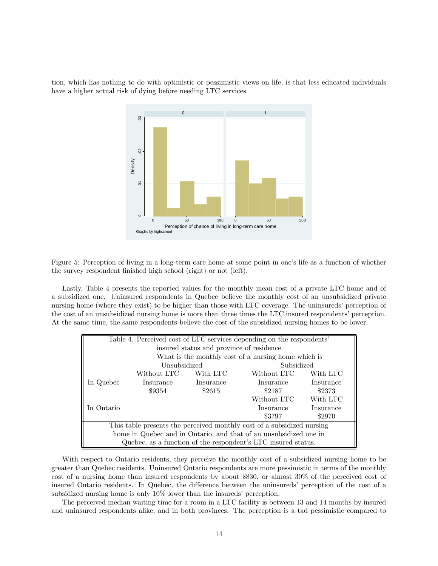tion, which has nothing to do with optimistic or pessimistic views on life, is that less educated individuals have a higher actual risk of dying before needing LTC services.



Figure 5: Perception of living in a long-term care home at some point in one's life as a function of whether the survey respondent finished high school (right) or not (left).

Lastly, Table 4 presents the reported values for the monthly mean cost of a private LTC home and of a subsidized one. Uninsured respondents in Quebec believe the monthly cost of an unsubsidized private nursing home (where they exist) to be higher than those with LTC coverage. The uninsureds' perception of the cost of an unsubsidized nursing home is more than three times the LTC insured respondents' perception. At the same time, the same respondents believe the cost of the subsidized nursing homes to be lower.

| Table 4. Perceived cost of LTC services depending on the respondents'  |                                                    |           |                                                               |           |  |  |  |  |
|------------------------------------------------------------------------|----------------------------------------------------|-----------|---------------------------------------------------------------|-----------|--|--|--|--|
|                                                                        | insured status and province of residence           |           |                                                               |           |  |  |  |  |
|                                                                        |                                                    |           | What is the monthly cost of a nursing home which is           |           |  |  |  |  |
|                                                                        | Unsubsidized                                       |           | Subsidized                                                    |           |  |  |  |  |
|                                                                        | With LTC<br>With LTC<br>Without LTC<br>Without LTC |           |                                                               |           |  |  |  |  |
| In Quebec                                                              | Insurance                                          | Insurance | Insurance                                                     | Insurance |  |  |  |  |
|                                                                        | \$9354                                             | \$2615    | \$2187                                                        | \$2373    |  |  |  |  |
|                                                                        |                                                    |           | Without LTC                                                   | With LTC  |  |  |  |  |
| In Ontario                                                             |                                                    |           | Insurance                                                     | Insurance |  |  |  |  |
|                                                                        | \$2970<br>\$3797                                   |           |                                                               |           |  |  |  |  |
| This table presents the perceived monthly cost of a subsidized nursing |                                                    |           |                                                               |           |  |  |  |  |
| home in Quebec and in Ontario, and that of an unsubsidized one in      |                                                    |           |                                                               |           |  |  |  |  |
|                                                                        |                                                    |           | Quebec, as a function of the respondent's LTC insured status. |           |  |  |  |  |

With respect to Ontario residents, they perceive the monthly cost of a subsidized nursing home to be greater than Quebec residents. Uninsured Ontario respondents are more pessimistic in terms of the monthly cost of a nursing home than insured respondents by about \$830, or almost 30% of the perceived cost of insured Ontario residents. In Quebec, the difference between the uninsureds' perception of the cost of a subsidized nursing home is only 10% lower than the insureds' perception.

The perceived median waiting time for a room in a LTC facility is between 13 and 14 months by insured and uninsured respondents alike, and in both provinces. The perception is a tad pessimistic compared to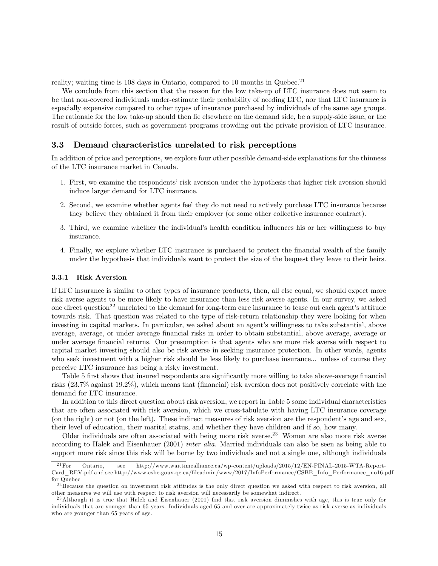reality; waiting time is  $108$  days in Ontario, compared to  $10$  months in Quebec.<sup>21</sup>

We conclude from this section that the reason for the low take-up of LTC insurance does not seem to be that non-covered individuals under-estimate their probability of needing LTC, nor that LTC insurance is especially expensive compared to other types of insurance purchased by individuals of the same age groups. The rationale for the low take-up should then lie elsewhere on the demand side, be a supply-side issue, or the result of outside forces, such as government programs crowding out the private provision of LTC insurance.

#### 3.3 Demand characteristics unrelated to risk perceptions

In addition of price and perceptions, we explore four other possible demand-side explanations for the thinness of the LTC insurance market in Canada.

- 1. First, we examine the respondents' risk aversion under the hypothesis that higher risk aversion should induce larger demand for LTC insurance.
- 2. Second, we examine whether agents feel they do not need to actively purchase LTC insurance because they believe they obtained it from their employer (or some other collective insurance contract).
- 3. Third, we examine whether the individual's health condition influences his or her willingness to buy insurance.
- 4. Finally, we explore whether LTC insurance is purchased to protect the financial wealth of the family under the hypothesis that individuals want to protect the size of the bequest they leave to their heirs.

#### 3.3.1 Risk Aversion

If LTC insurance is similar to other types of insurance products, then, all else equal, we should expect more risk averse agents to be more likely to have insurance than less risk averse agents. In our survey, we asked one direct question<sup>22</sup> unrelated to the demand for long-term care insurance to tease out each agent's attitude towards risk. That question was related to the type of risk-return relationship they were looking for when investing in capital markets. In particular, we asked about an agent's willingness to take substantial, above average, average, or under average financial risks in order to obtain substantial, above average, average or under average financial returns. Our presumption is that agents who are more risk averse with respect to capital market investing should also be risk averse in seeking insurance protection. In other words, agents who seek investment with a higher risk should be less likely to purchase insurance... unless of course they perceive LTC insurance has being a risky investment.

Table 5 first shows that insured respondents are significantly more willing to take above-average financial risks (23.7% against 19.2%), which means that (financial) risk aversion does not positively correlate with the demand for LTC insurance.

In addition to this direct question about risk aversion, we report in Table 5 some individual characteristics that are often associated with risk aversion, which we cross-tabulate with having LTC insurance coverage (on the right) or not (on the left). These indirect measures of risk aversion are the respondent's age and sex, their level of education, their marital status, and whether they have children and if so, how many.

Older individuals are often associated with being more risk averse.<sup>23</sup> Women are also more risk averse according to Halek and Eisenhauer (2001) *inter alia*. Married individuals can also be seen as being able to support more risk since this risk will be borne by two individuals and not a single one, although individuals

<sup>2 1</sup>For Ontario, see http://www.waittimealliance.ca/wp-content/uploads/2015/12/EN-FINAL-2015-WTA-Report-Card\_REV.pdf and see http://www.csbe.gouv.qc.ca/fileadmin/www/2017/InfoPerformance/CSBE\_Info\_Performance\_no16.pdf for Quebec

 $22$  Because the question on investment risk attitudes is the only direct question we asked with respect to risk aversion, all other measures we will use with respect to risk aversion will necessarily be somewhat indirect.

<sup>&</sup>lt;sup>23</sup> Although it is true that Halek and Eisenhauer (2001) find that risk aversion diminishes with age, this is true only for individuals that are younger than 65 years. Individuals aged 65 and over are approximately twice as risk averse as individuals who are younger than 65 years of age.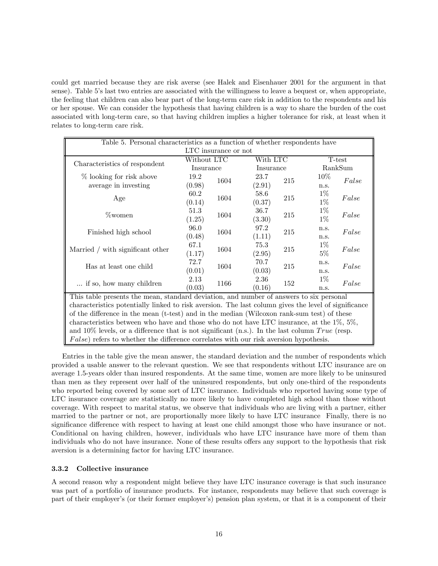could get married because they are risk averse (see Halek and Eisenhauer 2001 for the argument in that sense). Table 5's last two entries are associated with the willingness to leave a bequest or, when appropriate, the feeling that children can also bear part of the long-term care risk in addition to the respondents and his or her spouse. We can consider the hypothesis that having children is a way to share the burden of the cost associated with long-term care, so that having children implies a higher tolerance for risk, at least when it relates to long-term care risk.

| Table 5. Personal characteristics as a function of whether respondents have                          |              |      |           |     |         |       |  |
|------------------------------------------------------------------------------------------------------|--------------|------|-----------|-----|---------|-------|--|
| LTC insurance or not                                                                                 |              |      |           |     |         |       |  |
|                                                                                                      | Without LTC  |      | With LTC  |     | T-test  |       |  |
| Characteristics of respondent                                                                        | Insurance    |      | Insurance |     | RankSum |       |  |
| % looking for risk above                                                                             | 19.2<br>1604 |      | 23.7      | 215 | $10\%$  | False |  |
| average in investing                                                                                 | (0.98)       |      | (2.91)    |     | n.s.    |       |  |
| Age                                                                                                  | 60.2         | 1604 | 58.6      | 215 | $1\%$   | False |  |
|                                                                                                      | (0.14)       |      | (0.37)    |     | $1\%$   |       |  |
| %women                                                                                               | 51.3         | 1604 | 36.7      | 215 | $1\%$   | False |  |
|                                                                                                      | (1.25)       |      | (3.30)    |     | $1\%$   |       |  |
| Finished high school                                                                                 | 96.0         | 1604 | 97.2      | 215 | n.s.    | False |  |
|                                                                                                      | (0.48)       |      | (1.11)    |     | n.s.    |       |  |
| Married / with significant other                                                                     | 67.1         | 1604 | 75.3      | 215 | $1\%$   | False |  |
|                                                                                                      | (1.17)       |      | (2.95)    |     | $5\%$   |       |  |
| Has at least one child                                                                               | 72.7         | 1604 | 70.7      | 215 | n.s.    | False |  |
|                                                                                                      | (0.01)       |      | (0.03)    |     | n.s.    |       |  |
| if so, how many children                                                                             | 2.13         | 1166 | 2.36      | 152 | $1\%$   | False |  |
|                                                                                                      | (0.03)       |      | (0.16)    |     | n.s.    |       |  |
| This table presents the mean, standard deviation, and number of answers to six personal              |              |      |           |     |         |       |  |
| characteristics potentially linked to risk aversion. The last column gives the level of significance |              |      |           |     |         |       |  |
| of the difference in the mean (t-test) and in the median (Wilcoxon rank-sum test) of these           |              |      |           |     |         |       |  |
| characteristics between who have and those who do not have LTC insurance, at the $1\%, 5\%,$         |              |      |           |     |         |       |  |
| and 10% levels, or a difference that is not significant (n.s.). In the last column $True$ (resp.     |              |      |           |     |         |       |  |
| $False$ ) refers to whether the difference correlates with our risk aversion hypothesis.             |              |      |           |     |         |       |  |

Entries in the table give the mean answer, the standard deviation and the number of respondents which provided a usable answer to the relevant question. We see that respondents without LTC insurance are on average 1.5-years older than insured respondents. At the same time, women are more likely to be uninsured than men as they represent over half of the uninsured respondents, but only one-third of the respondents who reported being covered by some sort of LTC insurance. Individuals who reported having some type of LTC insurance coverage are statistically no more likely to have completed high school than those without coverage. With respect to marital status, we observe that individuals who are living with a partner, either married to the partner or not, are proportionally more likely to have LTC insurance Finally, there is no significance difference with respect to having at least one child amongst those who have insurance or not. Conditional on having children, however, individuals who have LTC insurance have more of them than individuals who do not have insurance. None of these results offers any support to the hypothesis that risk aversion is a determining factor for having LTC insurance.

#### 3.3.2 Collective insurance

A second reason why a respondent might believe they have LTC insurance coverage is that such insurance was part of a portfolio of insurance products. For instance, respondents may believe that such coverage is part of their employer's (or their former employer's) pension plan system, or that it is a component of their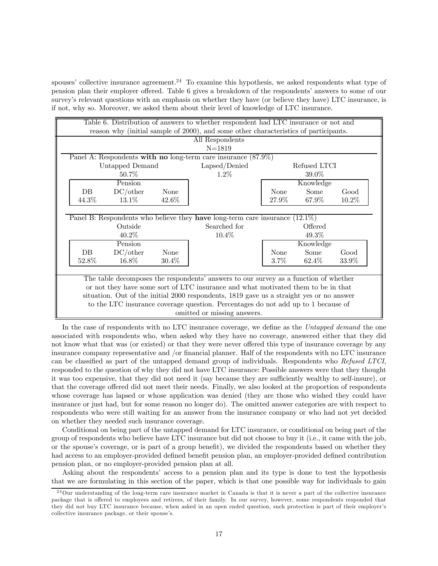spouses' collective insurance agreement.<sup>24</sup> To examine this hypothesis, we asked respondents what type of pension plan their employer offered. Table 6 gives a breakdown of the respondents' answers to some of our survey's relevant questions with an emphasis on whether they have (or believe they have) LTC insurance, is if not, why so. Moreover, we asked them about their level of knowledge of LTC insurance.

|                                                                                   | Table 6. Distribution of answers to whether respondent had LTC insurance or not and      |         |              |       |  |  |  |  |
|-----------------------------------------------------------------------------------|------------------------------------------------------------------------------------------|---------|--------------|-------|--|--|--|--|
|                                                                                   | reason why (initial sample of 2000), and some other characteristics of participants.     |         |              |       |  |  |  |  |
|                                                                                   | All Respondents                                                                          |         |              |       |  |  |  |  |
|                                                                                   | $N = 1819$                                                                               |         |              |       |  |  |  |  |
| Panel A: Respondents with no long-term care insurance $(87.9\%)$                  |                                                                                          |         |              |       |  |  |  |  |
| Untapped Demand                                                                   | Lapsed/Denied                                                                            |         | Refused LTCI |       |  |  |  |  |
| $50.7\%$                                                                          | $1.2\%$                                                                                  |         | 39.0\%       |       |  |  |  |  |
| Pension                                                                           |                                                                                          |         | Knowledge    |       |  |  |  |  |
| DC/other<br>DB<br>None                                                            |                                                                                          | None    | Some         | Good  |  |  |  |  |
| 13.1%<br>44.3%<br>42.6%                                                           |                                                                                          | 27.9%   | 67.9%        | 10.2% |  |  |  |  |
|                                                                                   |                                                                                          |         |              |       |  |  |  |  |
| Panel B: Respondents who believe they have long-term care insurance $(12.1\%)$    |                                                                                          |         |              |       |  |  |  |  |
| Outside                                                                           | Searched for                                                                             |         | Offered      |       |  |  |  |  |
| 40.2%                                                                             | 10.4%                                                                                    |         | 49.3%        |       |  |  |  |  |
| Pension                                                                           |                                                                                          |         | Knowledge    |       |  |  |  |  |
| DC/other<br>$DB$<br>None                                                          |                                                                                          | None    | Some         | Good  |  |  |  |  |
| 16.8%<br>52.8%<br>30.4%                                                           |                                                                                          | $3.7\%$ | 62.4%        | 33.9% |  |  |  |  |
|                                                                                   |                                                                                          |         |              |       |  |  |  |  |
|                                                                                   | The table decomposes the respondents' answers to our survey as a function of whether     |         |              |       |  |  |  |  |
|                                                                                   | or not they have some sort of LTC insurance and what motivated them to be in that        |         |              |       |  |  |  |  |
|                                                                                   | situation. Out of the initial 2000 respondents, 1819 gave us a straight yes or no answer |         |              |       |  |  |  |  |
| to the LTC insurance coverage question. Percentages do not add up to 1 because of |                                                                                          |         |              |       |  |  |  |  |
| omitted or missing answers.                                                       |                                                                                          |         |              |       |  |  |  |  |

In the case of respondents with no LTC insurance coverage, we define as the Untapped demand the one associated with respondents who, when asked why they have no coverage, answered either that they did not know what that was (or existed) or that they were never offered this type of insurance coverage by any insurance company representative and /or financial planner. Half of the respondents with no LTC insurance can be classified as part of the untapped demand group of individuals. Respondents who Refused LTCI, responded to the question of why they did not have LTC insurance: Possible answers were that they thought it was too expensive, that they did not need it (say because they are sufficiently wealthy to self-insure), or that the coverage offered did not meet their needs. Finally, we also looked at the proportion of respondents whose coverage has lapsed or whose application was denied (they are those who wished they could have insurance or just had, but for some reason no longer do). The omitted answer categories are with respect to respondents who were still waiting for an answer from the insurance company or who had not yet decided on whether they needed such insurance coverage.

Conditional on being part of the untapped demand for LTC insurance, or conditional on being part of the group of respondents who believe have LTC insurance but did not choose to buy it (i.e., it came with the job, or the spouse's coverage, or is part of a group benefit), we divided the respondents based on whether they had access to an employer-provided defined benefit pension plan, an employer-provided defined contribution pension plan, or no employer-provided pension plan at all.

Asking about the respondents' access to a pension plan and its type is done to test the hypothesis that we are formulating in this section of the paper, which is that one possible way for individuals to gain

 $^{24}$ Our understanding of the long-term care insurance market in Canada is that it is never a part of the collective insurance package that is offered to employees and retirees, of their family. In our survey, however, some respondents responded that they did not buy LTC insurance because, when asked in an open ended question, such protection is part of their employer's collective insurance package, or their spouse's.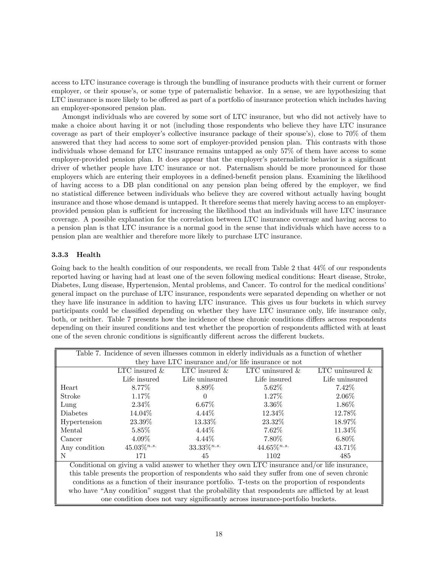access to LTC insurance coverage is through the bundling of insurance products with their current or former employer, or their spouse's, or some type of paternalistic behavior. In a sense, we are hypothesizing that LTC insurance is more likely to be offered as part of a portfolio of insurance protection which includes having an employer-sponsored pension plan.

Amongst individuals who are covered by some sort of LTC insurance, but who did not actively have to make a choice about having it or not (including those respondents who believe they have LTC insurance coverage as part of their employer's collective insurance package of their spouse's), close to 70% of them answered that they had access to some sort of employer-provided pension plan. This contrasts with those individuals whose demand for LTC insurance remains untapped as only 57% of them have access to some employer-provided pension plan. It does appear that the employer's paternalistic behavior is a significant driver of whether people have LTC insurance or not. Paternalism should be more pronounced for those employers which are entering their employees in a defined-benefit pension plans. Examining the likelihood of having access to a DB plan conditional on any pension plan being offered by the employer, we find no statistical difference between individuals who believe they are covered without actually having bought insurance and those whose demand is untapped. It therefore seems that merely having access to an employerprovided pension plan is sufficient for increasing the likelihood that an individuals will have LTC insurance coverage. A possible explanation for the correlation between LTC insurance coverage and having access to a pension plan is that LTC insurance is a normal good in the sense that individuals which have access to a pension plan are wealthier and therefore more likely to purchase LTC insurance.

#### 3.3.3 Health

Going back to the health condition of our respondents, we recall from Table 2 that  $44\%$  of our respondents reported having or having had at least one of the seven following medical conditions: Heart disease, Stroke, Diabetes, Lung disease, Hypertension, Mental problems, and Cancer. To control for the medical conditions' general impact on the purchase of LTC insurance, respondents were separated depending on whether or not they have life insurance in addition to having LTC insurance. This gives us four buckets in which survey participants could be classified depending on whether they have LTC insurance only, life insurance only, both, or neither. Table 7 presents how the incidence of these chronic conditions differs across respondents depending on their insured conditions and test whether the proportion of respondents afflicted with at least one of the seven chronic conditions is significantly different across the different buckets.

|                                                                                                  | Table 7. Incidence of seven illnesses common in elderly individuals as a function of whether |                  |                                                                               |                    |  |  |  |
|--------------------------------------------------------------------------------------------------|----------------------------------------------------------------------------------------------|------------------|-------------------------------------------------------------------------------|--------------------|--|--|--|
|                                                                                                  | they have LTC insurance and/or life insurance or not                                         |                  |                                                                               |                    |  |  |  |
|                                                                                                  | LTC insured $\&$                                                                             | LTC insured $\&$ | LTC uninsured $\&$                                                            | LTC uninsured $\&$ |  |  |  |
|                                                                                                  | Life insured                                                                                 | Life uninsured   | Life insured                                                                  | Life uninsured     |  |  |  |
| Heart                                                                                            | $8.77\%$                                                                                     | $8.89\%$         | $5.62\%$                                                                      | $7.42\%$           |  |  |  |
| Stroke                                                                                           | 1.17%                                                                                        | $\theta$         | $1.27\%$                                                                      | $2.06\%$           |  |  |  |
| Lung                                                                                             | $2.34\%$                                                                                     | $6.67\%$         | 3.36%                                                                         | $1.86\%$           |  |  |  |
| <b>Diabetes</b>                                                                                  | 14.04%                                                                                       | $4.44\%$         | 12.34\%                                                                       | 12.78%             |  |  |  |
| Hypertension                                                                                     | $23.39\%$                                                                                    | 13.33%           | 23.32%                                                                        | 18.97%             |  |  |  |
| Mental                                                                                           | $5.85\%$                                                                                     | $4.44\%$         | $7.62\%$                                                                      | 11.34%             |  |  |  |
| Cancer                                                                                           | $4.09\%$                                                                                     | $4.44\%$         | 7.80%                                                                         | $6.80\%$           |  |  |  |
| Any condition                                                                                    | $45.03\%^{n.s.}$                                                                             | $33.33\%^{n.s.}$ | $44.65\%^{n.s.}$                                                              | 43.71\%            |  |  |  |
| N                                                                                                | 171                                                                                          | 45               | 1102                                                                          | 485                |  |  |  |
| Conditional on giving a valid answer to whether they own LTC insurance and/or life insurance,    |                                                                                              |                  |                                                                               |                    |  |  |  |
| this table presents the proportion of respondents who said they suffer from one of seven chronic |                                                                                              |                  |                                                                               |                    |  |  |  |
| conditions as a function of their insurance portfolio. T-tests on the proportion of respondents  |                                                                                              |                  |                                                                               |                    |  |  |  |
| who have "Any condition" suggest that the probability that respondents are afflicted by at least |                                                                                              |                  |                                                                               |                    |  |  |  |
|                                                                                                  |                                                                                              |                  | one condition does not vary significantly across insurance-portfolio buckets. |                    |  |  |  |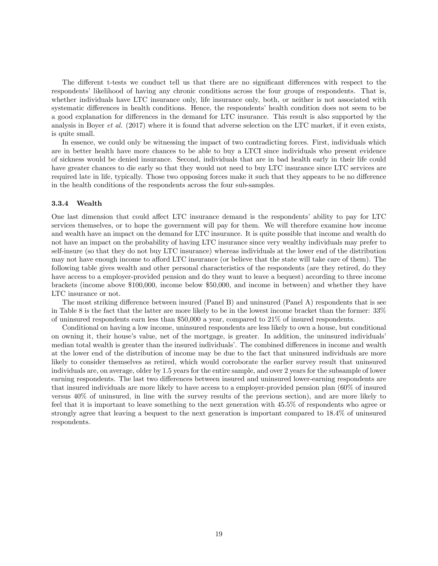The different t-tests we conduct tell us that there are no significant differences with respect to the respondents' likelihood of having any chronic conditions across the four groups of respondents. That is, whether individuals have LTC insurance only, life insurance only, both, or neither is not associated with systematic differences in health conditions. Hence, the respondents' health condition does not seem to be a good explanation for differences in the demand for LTC insurance. This result is also supported by the analysis in Boyer *et al.* (2017) where it is found that adverse selection on the LTC market, if it even exists, is quite small.

In essence, we could only be witnessing the impact of two contradicting forces. First, individuals which are in better health have more chances to be able to buy a LTCI since individuals who present evidence of sickness would be denied insurance. Second, individuals that are in bad health early in their life could have greater chances to die early so that they would not need to buy LTC insurance since LTC services are required late in life, typically. Those two opposing forces make it such that they appears to be no difference in the health conditions of the respondents across the four sub-samples.

#### 3.3.4 Wealth

One last dimension that could affect LTC insurance demand is the respondents' ability to pay for LTC services themselves, or to hope the government will pay for them. We will therefore examine how income and wealth have an impact on the demand for LTC insurance. It is quite possible that income and wealth do not have an impact on the probability of having LTC insurance since very wealthy individuals may prefer to self-insure (so that they do not buy LTC insurance) whereas individuals at the lower end of the distribution may not have enough income to afford LTC insurance (or believe that the state will take care of them). The following table gives wealth and other personal characteristics of the respondents (are they retired, do they have access to a employer-provided pension and do they want to leave a bequest) according to three income brackets (income above \$100,000, income below \$50,000, and income in between) and whether they have LTC insurance or not.

The most striking difference between insured (Panel B) and uninsured (Panel A) respondents that is see in Table 8 is the fact that the latter are more likely to be in the lowest income bracket than the former: 33% of uninsured respondents earn less than \$50,000 a year, compared to 21% of insured respondents.

Conditional on having a low income, uninsured respondents are less likely to own a house, but conditional on owning it, their house's value, net of the mortgage, is greater. In addition, the uninsured individuals' median total wealth is greater than the insured individuals'. The combined differences in income and wealth at the lower end of the distribution of income may be due to the fact that uninsured individuals are more likely to consider themselves as retired, which would corroborate the earlier survey result that uninsured individuals are, on average, older by 1.5 years for the entire sample, and over 2 years for the subsample of lower earning respondents. The last two differences between insured and uninsured lower-earning respondents are that insured individuals are more likely to have access to a employer-provided pension plan (60% of insured versus 40% of uninsured, in line with the survey results of the previous section), and are more likely to feel that it is important to leave something to the next generation with 45.5% of respondents who agree or strongly agree that leaving a bequest to the next generation is important compared to 18.4% of uninsured respondents.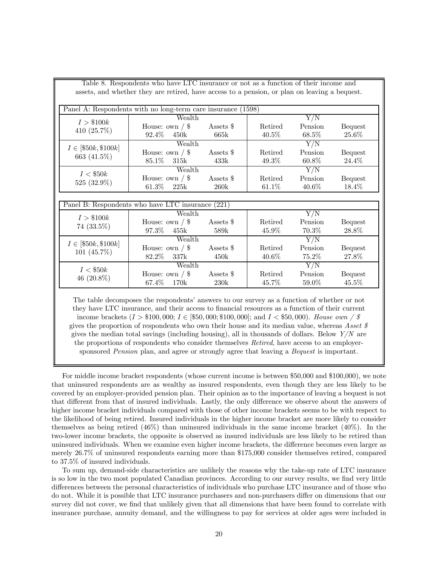|                         | assets, and whether they are retired, have access to a pension, or plan on leaving a bequest. |                  |          |                  |                |  |
|-------------------------|-----------------------------------------------------------------------------------------------|------------------|----------|------------------|----------------|--|
|                         | Panel A: Respondents with no long-term care insurance (1598)                                  |                  |          |                  |                |  |
|                         | Wealth                                                                                        |                  | Y/N      |                  |                |  |
| I > \$100k              | House: own $\frac{\ }{s}$                                                                     | Assets \$        | Retired  | Pension          | <b>Bequest</b> |  |
| 410 $(25.7\%)$          | 92.4\%<br>450k                                                                                | 665k             | $40.5\%$ | 68.5%            | 25.6%          |  |
|                         | Wealth                                                                                        |                  |          | $\overline{Y/N}$ |                |  |
| $I \in [\$50k, \$100k]$ | House: own $/$ \$                                                                             | Assets \$        | Retired  | Pension          | <b>Bequest</b> |  |
| 663 (41.5%)             | 85.1\%<br>315k                                                                                | 433k             | 49.3%    | 60.8%            | 24.4%          |  |
| I < \$50k               | Wealth                                                                                        |                  |          | Y/N              |                |  |
|                         | House: own $\frac{\ }{s}$                                                                     | Assets \$        | Retired  | Pension          | <b>Bequest</b> |  |
| 525 (32.9%)             | $61.3\%$<br>225k                                                                              | 260k             | 61.1%    | $40.6\%$         | 18.4%          |  |
|                         |                                                                                               |                  |          |                  |                |  |
|                         | Panel B: Respondents who have LTC insurance (221)                                             |                  |          |                  |                |  |
| I > \$100k              | Wealth                                                                                        |                  |          | $\overline{Y/N}$ |                |  |
| $74(33.5\%)$            | House: own $\frac{\ }{s}$                                                                     | Assets \$        | Retired  | Pension          | <b>Bequest</b> |  |
|                         | 97.3%<br>455k                                                                                 | 589 <sub>k</sub> | $45.9\%$ | 70.3%            | 28.8%          |  |
| $I \in [\$50k, \$100k]$ | Wealth                                                                                        |                  |          |                  |                |  |
| 101 $(45.7\%)$          | House: own $\frac{\sqrt{8}}{2}$                                                               | Assets \$        | Retired  | Pension          | <b>Bequest</b> |  |
|                         | 82.2%<br>337 <sub>k</sub>                                                                     | 450k             | 40.6%    | 75.2%            | 27.8%          |  |
|                         | Wealth                                                                                        |                  |          | Y/N              |                |  |
| I < \$50k               | House: own $\frac{\sqrt{8}}{2}$                                                               | Assets \$        | Retired  | Pension          | <b>Bequest</b> |  |
| 46 $(20.8\%)$           | 67.4%<br>170k                                                                                 | $230\mathrm{k}$  | 45.7%    | 59.0%            | 45.5%          |  |

Table 8. Respondents who have LTC insurance or not as a function of their income and

The table decomposes the respondents' answers to our survey as a function of whether or not they have LTC insurance, and their access to financial resources as a function of their current income brackets  $(I > $100,000; I \in [§50,000; $100,000]$ ; and  $I < $50,000$ ). House own / \$ gives the proportion of respondents who own their house and its median value, whereas Asset  $\hat{s}$ gives the median total savings (including housing), all in thousands of dollars. Below  $Y/N$  are the proportions of respondents who consider themselves Retired, have access to an employersponsored *Pension* plan, and agree or strongly agree that leaving a *Bequest* is important.

For middle income bracket respondents (whose current income is between \$50,000 and \$100,000), we note that uninsured respondents are as wealthy as insured respondents, even though they are less likely to be covered by an employer-provided pension plan. Their opinion as to the importance of leaving a bequest is not that different from that of insured individuals. Lastly, the only difference we observe about the answers of higher income bracket individuals compared with those of other income brackets seems to be with respect to the likelihood of being retired. Insured individuals in the higher income bracket are more likely to consider themselves as being retired (46%) than uninsured individuals in the same income bracket (40%). In the two-lower income brackets, the opposite is observed as insured individuals are less likely to be retired than uninsured individuals. When we examine even higher income brackets, the difference becomes even larger as merely 26.7% of uninsured respondents earning more than \$175,000 consider themselves retired, compared to 37.5% of insured individuals.

To sum up, demand-side characteristics are unlikely the reasons why the take-up rate of LTC insurance is so low in the two most populated Canadian provinces. According to our survey results, we find very little differences between the personal characteristics of individuals who purchase LTC insurance and of those who do not. While it is possible that LTC insurance purchasers and non-purchasers differ on dimensions that our survey did not cover, we find that unlikely given that all dimensions that have been found to correlate with insurance purchase, annuity demand, and the willingness to pay for services at older ages were included in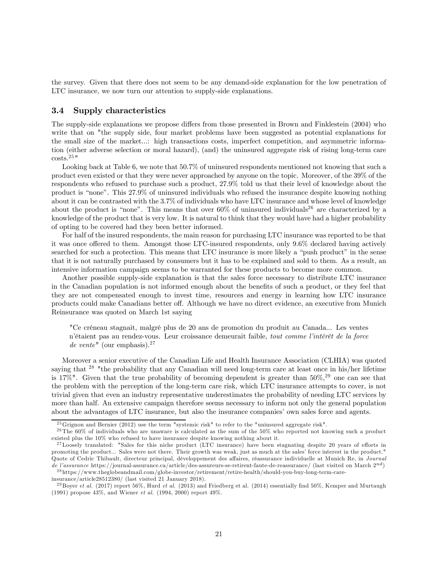the survey. Given that there does not seem to be any demand-side explanation for the low penetration of LTC insurance, we now turn our attention to supply-side explanations.

#### 3.4 Supply characteristics

The supply-side explanations we propose differs from those presented in Brown and Finklestein (2004) who write that on "the supply side, four market problems have been suggested as potential explanations for the small size of the market...: high transactions costs, imperfect competition, and asymmetric information (either adverse selection or moral hazard), (and) the uninsured aggregate risk of rising long-term care  $costs.<sup>25</sup>$ 

Looking back at Table 6, we note that 50.7% of uninsured respondents mentioned not knowing that such a product even existed or that they were never approached by anyone on the topic. Moreover, of the 39% of the respondents who refused to purchase such a product, 27.9% told us that their level of knowledge about the product is "none". This 27.9% of uninsured individuals who refused the insurance despite knowing nothing about it can be contrasted with the 3.7% of individuals who have LTC insurance and whose level of knowledge about the product is "none". This means that over  $60\%$  of uninsured individuals<sup>26</sup> are characterized by a knowledge of the product that is very low. It is natural to think that they would have had a higher probability of opting to be covered had they been better informed.

For half of the insured respondents, the main reason for purchasing LTC insurance was reported to be that it was once offered to them. Amongst those LTC-insured respondents, only 9.6% declared having actively searched for such a protection. This means that LTC insurance is more likely a "push product" in the sense that it is not naturally purchased by consumers but it has to be explained and sold to them. As a result, an intensive information campaign seems to be warranted for these products to become more common.

Another possible supply-side explanation is that the sales force necessary to distribute LTC insurance in the Canadian population is not informed enough about the benefits of such a product, or they feel that they are not compensated enough to invest time, resources and energy in learning how LTC insurance products could make Canadians better off. Although we have no direct evidence, an executive from Munich Reinsurance was quoted on March 1st saying

"Ce créneau stagnait, malgré plus de 20 ans de promotion du produit au Canada... Les ventes n'étaient pas au rendez-vous. Leur croissance demeurait faible, tout comme l'intérêt de la force de vente" (our emphasis).<sup>27</sup>

Moreover a senior executive of the Canadian Life and Health Insurance Association (CLHIA) was quoted saying that <sup>28</sup> "the probability that any Canadian will need long-term care at least once in his/her lifetime is 17%". Given that the true probability of becoming dependent is greater than  $50\%,^{29}$  one can see that the problem with the perception of the long-term care risk, which LTC insurance attempts to cover, is not trivial given that even an industry representative underestimates the probability of needing LTC services by more than half. An extensive campaign therefore seems necessary to inform not only the general population about the advantages of LTC insurance, but also the insurance companies' own sales force and agents.

<sup>2 5</sup>Grignon and Bernier (2012) use the term "systemic risk" to refer to the "uninsured aggregate risk".

 $^{26}$ The 60% of individuals who are unaware is calculated as the sum of the 50% who reported not knowing such a product existed plus the 10% who refused to have insurance despite knowing nothing about it.

<sup>&</sup>lt;sup>27</sup>Loosely translated: "Sales for this niche product (LTC insurance) have been stagnating despite 20 years of efforts in promoting the product... Sales were not there. Their growth was weak, just as much at the sales' force interest in the product." Quote of Cedric Thibault, directeur principal, développement des affaires, réassurance individuelle at Munich Re, in Journal de l'assurance https://journal-assurance.ca/article/des-assureurs-se-retirent-faute-de-reassurance/ (last visited on March  $2^{nd}$ )

<sup>2 8</sup> https://www.theglobeandmail.com/globe-investor/retirement/retire-health/should-you-buy-long-term-care-

insurance/article28512380/ (last visited 21 January 2018).

<sup>&</sup>lt;sup>29</sup> Boyer et al. (2017) report 56%, Hurd et al. (2013) and Friedberg et al. (2014) essentially find 50%, Kemper and Murtaugh (1991) propose 43%, and Wiener et al. (1994, 2000) report 49%.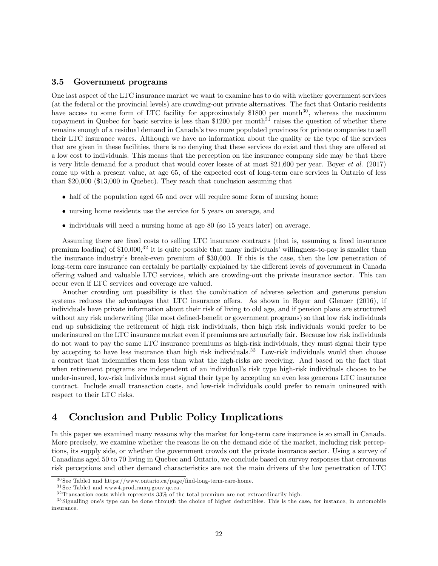#### 3.5 Government programs

One last aspect of the LTC insurance market we want to examine has to do with whether government services (at the federal or the provincial levels) are crowding-out private alternatives. The fact that Ontario residents have access to some form of LTC facility for approximately \$1800 per month<sup>30</sup>, whereas the maximum copayment in Quebec for basic service is less than  $$1200$  per month<sup>31</sup> raises the question of whether there remains enough of a residual demand in Canada's two more populated provinces for private companies to sell their LTC insurance wares. Although we have no information about the quality or the type of the services that are given in these facilities, there is no denying that these services do exist and that they are offered at a low cost to individuals. This means that the perception on the insurance company side may be that there is very little demand for a product that would cover losses of at most \$21,600 per year. Boyer et al. (2017) come up with a present value, at age 65, of the expected cost of long-term care services in Ontario of less than \$20,000 (\$13,000 in Quebec). They reach that conclusion assuming that

- half of the population aged 65 and over will require some form of nursing home;
- nursing home residents use the service for 5 years on average, and
- individuals will need a nursing home at age 80 (so 15 years later) on average.

Assuming there are fixed costs to selling LTC insurance contracts (that is, assuming a fixed insurance premium loading) of  $$10,000$ ,<sup>32</sup> it is quite possible that many individuals' willingness-to-pay is smaller than the insurance industry's break-even premium of \$30,000. If this is the case, then the low penetration of long-term care insurance can certainly be partially explained by the different levels of government in Canada offering valued and valuable LTC services, which are crowding-out the private insurance sector. This can occur even if LTC services and coverage are valued.

Another crowding out possibility is that the combination of adverse selection and generous pension systems reduces the advantages that LTC insurance offers. As shown in Boyer and Glenzer (2016), if individuals have private information about their risk of living to old age, and if pension plans are structured without any risk underwriting (like most defined-benefit or government programs) so that low risk individuals end up subsidizing the retirement of high risk individuals, then high risk individuals would prefer to be underinsured on the LTC insurance market even if premiums are actuarially fair. Because low risk individuals do not want to pay the same LTC insurance premiums as high-risk individuals, they must signal their type by accepting to have less insurance than high risk individuals.<sup>33</sup> Low-risk individuals would then choose a contract that indemnifies them less than what the high-risks are receiving. And based on the fact that when retirement programs are independent of an individual's risk type high-risk individuals choose to be under-insured, low-risk individuals must signal their type by accepting an even less generous LTC insurance contract. Include small transaction costs, and low-risk individuals could prefer to remain uninsured with respect to their LTC risks.

# 4 Conclusion and Public Policy Implications

In this paper we examined many reasons why the market for long-term care insurance is so small in Canada. More precisely, we examine whether the reasons lie on the demand side of the market, including risk perceptions, its supply side, or whether the government crowds out the private insurance sector. Using a survey of Canadians aged 50 to 70 living in Quebec and Ontario, we conclude based on survey responses that erroneous risk perceptions and other demand characteristics are not the main drivers of the low penetration of LTC

 $^{30}\rm{See}$  Table1 and https://www.ontario.ca/page/find-long-term-care-home.

 $^{31}{\rm{See}}$  Table1 and  ${\tt www4.prod.ramq.gouv.qc.ca.}$ 

 $32$ Transaction costs which represents  $33\%$  of the total premium are not extraordinarily high.

 $33$  Signalling one's type can be done through the choice of higher deductibles. This is the case, for instance, in automobile insurance.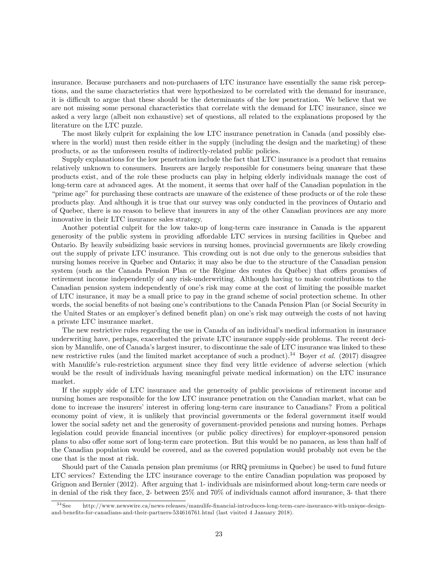insurance. Because purchasers and non-purchasers of LTC insurance have essentially the same risk perceptions, and the same characteristics that were hypothesized to be correlated with the demand for insurance, it is difficult to argue that these should be the determinants of the low penetration. We believe that we are not missing some personal characteristics that correlate with the demand for LTC insurance, since we asked a very large (albeit non exhaustive) set of questions, all related to the explanations proposed by the literature on the LTC puzzle.

The most likely culprit for explaining the low LTC insurance penetration in Canada (and possibly elsewhere in the world) must then reside either in the supply (including the design and the marketing) of these products, or as the unforeseen results of indirectly-related public policies.

Supply explanations for the low penetration include the fact that LTC insurance is a product that remains relatively unknown to consumers. Insurers are largely responsible for consumers being unaware that these products exist, and of the role these products can play in helping elderly individuals manage the cost of long-term care at advanced ages. At the moment, it seems that over half of the Canadian population in the "prime age" for purchasing these contracts are unaware of the existence of these products or of the role these products play. And although it is true that our survey was only conducted in the provinces of Ontario and of Quebec, there is no reason to believe that insurers in any of the other Canadian provinces are any more innovative in their LTC insurance sales strategy.

Another potential culprit for the low take-up of long-term care insurance in Canada is the apparent generosity of the public system in providing affordable LTC services in nursing facilities in Quebec and Ontario. By heavily subsidizing basic services in nursing homes, provincial governments are likely crowding out the supply of private LTC insurance. This crowding out is not due only to the generous subsidies that nursing homes receive in Quebec and Ontario; it may also be due to the structure of the Canadian pension system (such as the Canada Pension Plan or the Régime des rentes du Québec) that offers promises of retirement income independently of any risk-underwriting. Although having to make contributions to the Canadian pension system independently of one's risk may come at the cost of limiting the possible market of LTC insurance, it may be a small price to pay in the grand scheme of social protection scheme. In other words, the social benefits of not basing one's contributions to the Canada Pension Plan (or Social Security in the United States or an employer's defined benefit plan) on one's risk may outweigh the costs of not having a private LTC insurance market.

The new restrictive rules regarding the use in Canada of an individual's medical information in insurance underwriting have, perhaps, exacerbated the private LTC insurance supply-side problems. The recent decision by Manulife, one of Canada's largest insurer, to discontinue the sale of LTC insurance was linked to these new restrictive rules (and the limited market acceptance of such a product).<sup>34</sup> Boyer *et al.* (2017) disagree with Manulife's rule-restriction argument since they find very little evidence of adverse selection (which would be the result of individuals having meaningful private medical information) on the LTC insurance market.

If the supply side of LTC insurance and the generosity of public provisions of retirement income and nursing homes are responsible for the low LTC insurance penetration on the Canadian market, what can be done to increase the insurers' interest in offering long-term care insurance to Canadians? From a political economy point of view, it is unlikely that provincial governments or the federal government itself would lower the social safety net and the generosity of government-provided pensions and nursing homes. Perhaps legislation could provide financial incentives (or public policy directives) for employer-sponsored pension plans to also offer some sort of long-term care protection. But this would be no panacea, as less than half of the Canadian population would be covered, and as the covered population would probably not even be the one that is the most at risk.

Should part of the Canada pension plan premiums (or RRQ premiums in Quebec) be used to fund future LTC services? Extending the LTC insurance coverage to the entire Canadian population was proposed by Grignon and Bernier (2012). After arguing that 1- individuals are misinformed about long-term care needs or in denial of the risk they face, 2- between 25% and 70% of individuals cannot afford insurance, 3- that there

<sup>3 4</sup> See http://www.newswire.ca/news-releases/manulife-financial-introduces-long-term-care-insurance-with-unique-designand-benefits-for-canadians-and-their-partners-534616761.html (last visited 4 January 2018).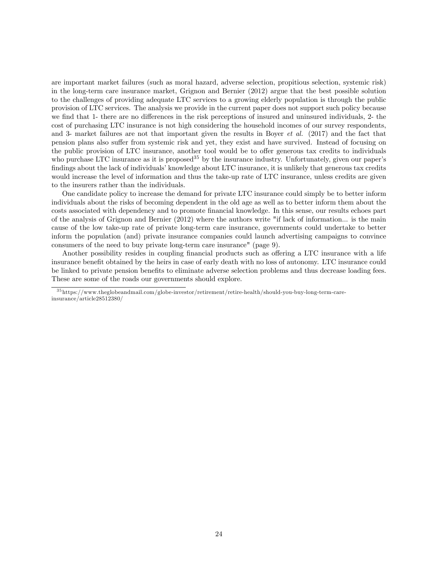are important market failures (such as moral hazard, adverse selection, propitious selection, systemic risk) in the long-term care insurance market, Grignon and Bernier (2012) argue that the best possible solution to the challenges of providing adequate LTC services to a growing elderly population is through the public provision of LTC services. The analysis we provide in the current paper does not support such policy because we find that 1- there are no differences in the risk perceptions of insured and uninsured individuals, 2- the cost of purchasing LTC insurance is not high considering the household incomes of our survey respondents, and 3- market failures are not that important given the results in Boyer et al. (2017) and the fact that pension plans also suffer from systemic risk and yet, they exist and have survived. Instead of focusing on the public provision of LTC insurance, another tool would be to offer generous tax credits to individuals who purchase LTC insurance as it is proposed<sup>35</sup> by the insurance industry. Unfortunately, given our paper's findings about the lack of individuals' knowledge about LTC insurance, it is unlikely that generous tax credits would increase the level of information and thus the take-up rate of LTC insurance, unless credits are given to the insurers rather than the individuals.

One candidate policy to increase the demand for private LTC insurance could simply be to better inform individuals about the risks of becoming dependent in the old age as well as to better inform them about the costs associated with dependency and to promote financial knowledge. In this sense, our results echoes part of the analysis of Grignon and Bernier (2012) where the authors write "if lack of information... is the main cause of the low take-up rate of private long-term care insurance, governments could undertake to better inform the population (and) private insurance companies could launch advertising campaigns to convince consumers of the need to buy private long-term care insurance" (page 9).

Another possibility resides in coupling financial products such as offering a LTC insurance with a life insurance benefit obtained by the heirs in case of early death with no loss of autonomy. LTC insurance could be linked to private pension benefits to eliminate adverse selection problems and thus decrease loading fees. These are some of the roads our governments should explore.

<sup>3 5</sup> https://www.theglobeandmail.com/globe-investor/retirement/retire-health/should-you-buy-long-term-careinsurance/article28512380/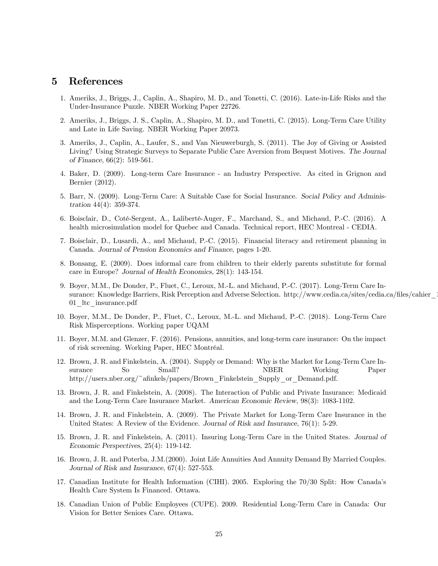### 5 References

- 1. Ameriks, J., Briggs, J., Caplin, A., Shapiro, M. D., and Tonetti, C. (2016). Late-in-Life Risks and the Under-Insurance Puzzle. NBER Working Paper 22726.
- 2. Ameriks, J., Briggs, J. S., Caplin, A., Shapiro, M. D., and Tonetti, C. (2015). Long-Term Care Utility and Late in Life Saving. NBER Working Paper 20973.
- 3. Ameriks, J., Caplin, A., Laufer, S., and Van Nieuwerburgh, S. (2011). The Joy of Giving or Assisted Living? Using Strategic Surveys to Separate Public Care Aversion from Bequest Motives. The Journal of Finance, 66(2): 519-561.
- 4. Baker, D. (2009). Long-term Care Insurance an Industry Perspective. As cited in Grignon and Bernier (2012).
- 5. Barr, N. (2009). Long-Term Care: A Suitable Case for Social Insurance. Social Policy and Administration 44(4): 359-374.
- 6. Boisclair, D., Coté-Sergent, A., Laliberté-Auger, F., Marchand, S., and Michaud, P.-C. (2016). A health microsimulation model for Quebec and Canada. Technical report, HEC Montreal - CEDIA.
- 7. Boisclair, D., Lusardi, A., and Michaud, P.-C. (2015). Financial literacy and retirement planning in Canada. Journal of Pension Economics and Finance, pages 1-20.
- 8. Bonsang, E. (2009). Does informal care from children to their elderly parents substitute for formal care in Europe? Journal of Health Economics, 28(1): 143-154.
- 9. Boyer, M.M., De Donder, P., Fluet, C., Leroux, M.-L. and Michaud, P.-C. (2017). Long-Term Care Insurance: Knowledge Barriers, Risk Perception and Adverse Selection. http://www.cedia.ca/sites/cedia.ca/files/cahier 01\_ltc\_insurance.pdf
- 10. Boyer, M.M., De Donder, P., Fluet, C., Leroux, M.-L. and Michaud, P.-C. (2018). Long-Term Care Risk Misperceptions. Working paper UQAM
- 11. Boyer, M.M. and Glenzer, F. (2016). Pensions, annuities, and long-term care insurance: On the impact of risk screening. Working Paper, HEC Montréal.
- 12. Brown, J. R. and Finkelstein, A. (2004). Supply or Demand: Why is the Market for Long-Term Care Insurance So Small? NBER Working Paper http://users.nber.org/~afinkels/papers/Brown\_Finkelstein\_Supply\_or\_Demand.pdf.
- 13. Brown, J. R. and Finkelstein, A. (2008). The Interaction of Public and Private Insurance: Medicaid and the Long-Term Care Insurance Market. American Economic Review, 98(3): 1083-1102.
- 14. Brown, J. R. and Finkelstein, A. (2009). The Private Market for Long-Term Care Insurance in the United States: A Review of the Evidence. Journal of Risk and Insurance, 76(1): 5-29.
- 15. Brown, J. R. and Finkelstein, A. (2011). Insuring Long-Term Care in the United States. Journal of Economic Perspectives, 25(4): 119-142.
- 16. Brown, J. R. and Poterba, J.M.(2000). Joint Life Annuities And Annuity Demand By Married Couples. Journal of Risk and Insurance, 67(4): 527-553.
- 17. Canadian Institute for Health Information (CIHI). 2005. Exploring the 70/30 Split: How Canada's Health Care System Is Financed. Ottawa.
- 18. Canadian Union of Public Employees (CUPE). 2009. Residential Long-Term Care in Canada: Our Vision for Better Seniors Care. Ottawa.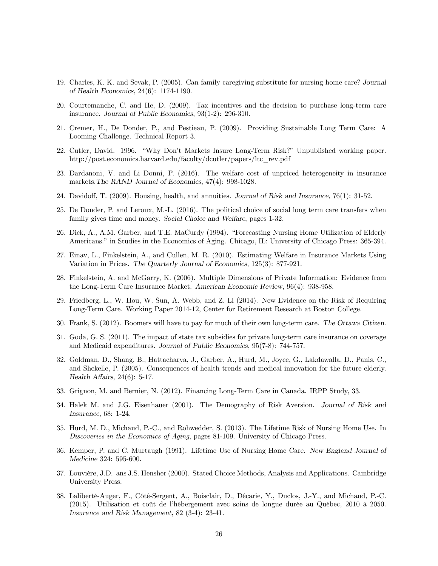- 19. Charles, K. K. and Sevak, P. (2005). Can family caregiving substitute for nursing home care? Journal of Health Economics, 24(6): 1174-1190.
- 20. Courtemanche, C. and He, D. (2009). Tax incentives and the decision to purchase long-term care insurance. Journal of Public Economics, 93(1-2): 296-310.
- 21. Cremer, H., De Donder, P., and Pestieau, P. (2009). Providing Sustainable Long Term Care: A Looming Challenge. Technical Report 3.
- 22. Cutler, David. 1996. "Why Don't Markets Insure Long-Term Risk?" Unpublished working paper. http://post.economics.harvard.edu/faculty/dcutler/papers/ltc\_rev.pdf
- 23. Dardanoni, V. and Li Donni, P. (2016). The welfare cost of unpriced heterogeneity in insurance markets.The RAND Journal of Economics, 47(4): 998-1028.
- 24. Davidoff, T. (2009). Housing, health, and annuities. Journal of Risk and Insurance, 76(1): 31-52.
- 25. De Donder, P. and Leroux, M.-L. (2016). The political choice of social long term care transfers when family gives time and money. Social Choice and Welfare, pages 1-32.
- 26. Dick, A., A.M. Garber, and T.E. MaCurdy (1994). "Forecasting Nursing Home Utilization of Elderly Americans." in Studies in the Economics of Aging. Chicago, IL: University of Chicago Press: 365-394.
- 27. Einav, L., Finkelstein, A., and Cullen, M. R. (2010). Estimating Welfare in Insurance Markets Using Variation in Prices. The Quarterly Journal of Economics, 125(3): 877-921.
- 28. Finkelstein, A. and McGarry, K. (2006). Multiple Dimensions of Private Information: Evidence from the Long-Term Care Insurance Market. American Economic Review, 96(4): 938-958.
- 29. Friedberg, L., W. Hou, W. Sun, A. Webb, and Z. Li (2014). New Evidence on the Risk of Requiring Long-Term Care. Working Paper 2014-12, Center for Retirement Research at Boston College.
- 30. Frank, S. (2012). Boomers will have to pay for much of their own long-term care. The Ottawa Citizen.
- 31. Goda, G. S. (2011). The impact of state tax subsidies for private long-term care insurance on coverage and Medicaid expenditures. Journal of Public Economics, 95(7-8): 744-757.
- 32. Goldman, D., Shang, B., Hattacharya, J., Garber, A., Hurd, M., Joyce, G., Lakdawalla, D., Panis, C., and Shekelle, P. (2005). Consequences of health trends and medical innovation for the future elderly. Health Affairs, 24(6): 5-17.
- 33. Grignon, M. and Bernier, N. (2012). Financing Long-Term Care in Canada. IRPP Study, 33.
- 34. Halek M. and J.G. Eisenhauer (2001). The Demography of Risk Aversion. Journal of Risk and Insurance, 68: 1-24.
- 35. Hurd, M. D., Michaud, P.-C., and Rohwedder, S. (2013). The Lifetime Risk of Nursing Home Use. In Discoveries in the Economics of Aging, pages 81-109. University of Chicago Press.
- 36. Kemper, P. and C. Murtaugh (1991). Lifetime Use of Nursing Home Care. New England Journal of Medicine 324: 595-600.
- 37. Louvière, J.D. ans J.S. Hensher (2000). Stated Choice Methods, Analysis and Applications. Cambridge University Press.
- 38. Laliberté-Auger, F., Côté-Sergent, A., Boisclair, D., Décarie, Y., Duclos, J.-Y., and Michaud, P.-C. (2015). Utilisation et coût de l'hébergement avec soins de longue durée au Québec, 2010 à 2050. Insurance and Risk Management, 82 (3-4): 23-41.